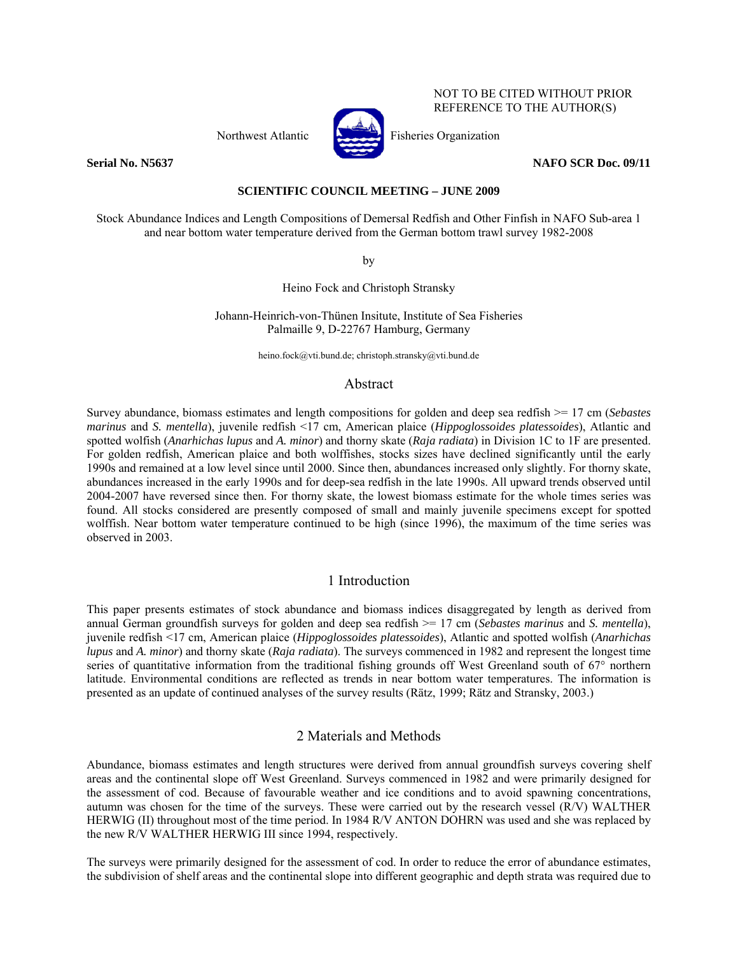Northwest Atlantic Fisheries Organization



NOT TO BE CITED WITHOUT PRIOR REFERENCE TO THE AUTHOR(S)

**Serial No. N5637** NAFO SCR Doc. 09/11

#### **SCIENTIFIC COUNCIL MEETING – JUNE 2009**

Stock Abundance Indices and Length Compositions of Demersal Redfish and Other Finfish in NAFO Sub-area 1 and near bottom water temperature derived from the German bottom trawl survey 1982-2008

by

Heino Fock and Christoph Stransky

Johann-Heinrich-von-Thünen Insitute, Institute of Sea Fisheries Palmaille 9, D-22767 Hamburg, Germany

heino.fock@vti.bund.de; christoph.stransky@vti.bund.de

## Abstract

Survey abundance, biomass estimates and length compositions for golden and deep sea redfish >= 17 cm (*Sebastes marinus* and *S. mentella*), juvenile redfish <17 cm, American plaice (*Hippoglossoides platessoides*), Atlantic and spotted wolfish (*Anarhichas lupus* and *A. minor*) and thorny skate (*Raja radiata*) in Division 1C to 1F are presented. For golden redfish, American plaice and both wolffishes, stocks sizes have declined significantly until the early 1990s and remained at a low level since until 2000. Since then, abundances increased only slightly. For thorny skate, abundances increased in the early 1990s and for deep-sea redfish in the late 1990s. All upward trends observed until 2004-2007 have reversed since then. For thorny skate, the lowest biomass estimate for the whole times series was found. All stocks considered are presently composed of small and mainly juvenile specimens except for spotted wolffish. Near bottom water temperature continued to be high (since 1996), the maximum of the time series was observed in 2003.

# 1 Introduction

This paper presents estimates of stock abundance and biomass indices disaggregated by length as derived from annual German groundfish surveys for golden and deep sea redfish >= 17 cm (*Sebastes marinus* and *S. mentella*), juvenile redfish <17 cm, American plaice (*Hippoglossoides platessoides*), Atlantic and spotted wolfish (*Anarhichas lupus* and *A. minor*) and thorny skate (*Raja radiata*). The surveys commenced in 1982 and represent the longest time series of quantitative information from the traditional fishing grounds off West Greenland south of 67° northern latitude. Environmental conditions are reflected as trends in near bottom water temperatures. The information is presented as an update of continued analyses of the survey results (Rätz, 1999; Rätz and Stransky, 2003.)

# 2 Materials and Methods

Abundance, biomass estimates and length structures were derived from annual groundfish surveys covering shelf areas and the continental slope off West Greenland. Surveys commenced in 1982 and were primarily designed for the assessment of cod. Because of favourable weather and ice conditions and to avoid spawning concentrations, autumn was chosen for the time of the surveys. These were carried out by the research vessel (R/V) WALTHER HERWIG (II) throughout most of the time period. In 1984 R/V ANTON DOHRN was used and she was replaced by the new R/V WALTHER HERWIG III since 1994, respectively.

The surveys were primarily designed for the assessment of cod. In order to reduce the error of abundance estimates, the subdivision of shelf areas and the continental slope into different geographic and depth strata was required due to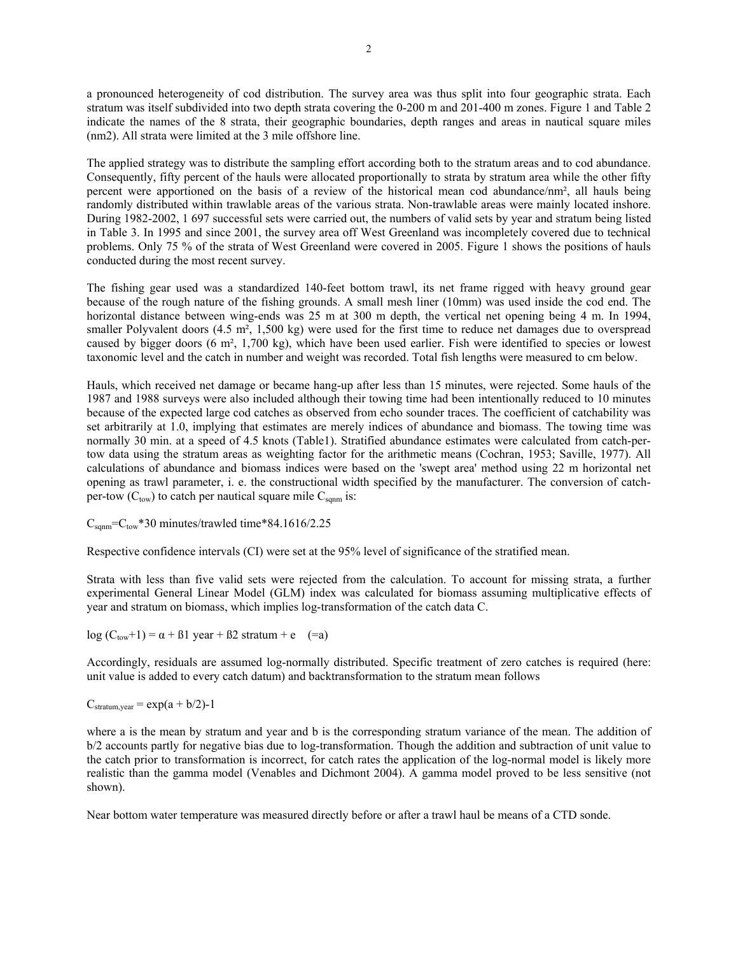a pronounced heterogeneity of cod distribution. The survey area was thus split into four geographic strata. Each stratum was itself subdivided into two depth strata covering the 0-200 m and 201-400 m zones. Figure 1 and Table 2 indicate the names of the 8 strata, their geographic boundaries, depth ranges and areas in nautical square miles (nm2). All strata were limited at the 3 mile offshore line.

The applied strategy was to distribute the sampling effort according both to the stratum areas and to cod abundance. Consequently, fifty percent of the hauls were allocated proportionally to strata by stratum area while the other fifty percent were apportioned on the basis of a review of the historical mean cod abundance/nm², all hauls being randomly distributed within trawlable areas of the various strata. Non-trawlable areas were mainly located inshore. During 1982-2002, 1 697 successful sets were carried out, the numbers of valid sets by year and stratum being listed in Table 3. In 1995 and since 2001, the survey area off West Greenland was incompletely covered due to technical problems. Only 75 % of the strata of West Greenland were covered in 2005. Figure 1 shows the positions of hauls conducted during the most recent survey.

The fishing gear used was a standardized 140-feet bottom trawl, its net frame rigged with heavy ground gear because of the rough nature of the fishing grounds. A small mesh liner (10mm) was used inside the cod end. The horizontal distance between wing-ends was 25 m at 300 m depth, the vertical net opening being 4 m. In 1994, smaller Polyvalent doors (4.5 m<sup>2</sup>, 1,500 kg) were used for the first time to reduce net damages due to overspread caused by bigger doors (6 m², 1,700 kg), which have been used earlier. Fish were identified to species or lowest taxonomic level and the catch in number and weight was recorded. Total fish lengths were measured to cm below.

Hauls, which received net damage or became hang-up after less than 15 minutes, were rejected. Some hauls of the 1987 and 1988 surveys were also included although their towing time had been intentionally reduced to 10 minutes because of the expected large cod catches as observed from echo sounder traces. The coefficient of catchability was set arbitrarily at 1.0, implying that estimates are merely indices of abundance and biomass. The towing time was normally 30 min. at a speed of 4.5 knots (Table1). Stratified abundance estimates were calculated from catch-pertow data using the stratum areas as weighting factor for the arithmetic means (Cochran, 1953; Saville, 1977). All calculations of abundance and biomass indices were based on the 'swept area' method using 22 m horizontal net opening as trawl parameter, i. e. the constructional width specified by the manufacturer. The conversion of catchper-tow  $(C_{\text{tow}})$  to catch per nautical square mile  $C_{\text{spam}}$  is:

 $C_{\text{spam}}=C_{\text{tow}}*30$  minutes/trawled time\*84.1616/2.25

Respective confidence intervals (CI) were set at the 95% level of significance of the stratified mean.

Strata with less than five valid sets were rejected from the calculation. To account for missing strata, a further experimental General Linear Model (GLM) index was calculated for biomass assuming multiplicative effects of year and stratum on biomass, which implies log-transformation of the catch data C.

log  $(C_{\text{tow}}+1) = \alpha + \beta 1$  year +  $\beta 2$  stratum + e (=a)

Accordingly, residuals are assumed log-normally distributed. Specific treatment of zero catches is required (here: unit value is added to every catch datum) and backtransformation to the stratum mean follows

 $C_{\text{stratum. year}} = \exp(a + b/2) - 1$ 

where a is the mean by stratum and year and b is the corresponding stratum variance of the mean. The addition of b/2 accounts partly for negative bias due to log-transformation. Though the addition and subtraction of unit value to the catch prior to transformation is incorrect, for catch rates the application of the log-normal model is likely more realistic than the gamma model (Venables and Dichmont 2004). A gamma model proved to be less sensitive (not shown).

Near bottom water temperature was measured directly before or after a trawl haul be means of a CTD sonde.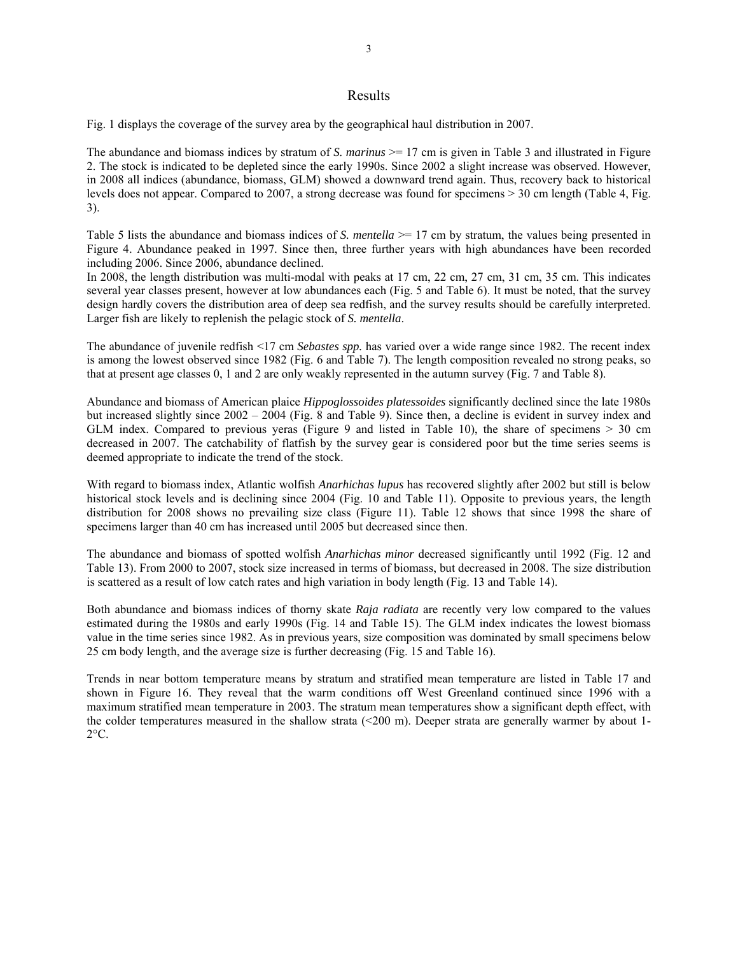#### Results

Fig. 1 displays the coverage of the survey area by the geographical haul distribution in 2007.

The abundance and biomass indices by stratum of *S. marinus*  $\ge$  17 cm is given in Table 3 and illustrated in Figure 2. The stock is indicated to be depleted since the early 1990s. Since 2002 a slight increase was observed. However, in 2008 all indices (abundance, biomass, GLM) showed a downward trend again. Thus, recovery back to historical levels does not appear. Compared to 2007, a strong decrease was found for specimens > 30 cm length (Table 4, Fig. 3).

Table 5 lists the abundance and biomass indices of *S. mentella*  $\geq$  17 cm by stratum, the values being presented in Figure 4. Abundance peaked in 1997. Since then, three further years with high abundances have been recorded including 2006. Since 2006, abundance declined.

In 2008, the length distribution was multi-modal with peaks at 17 cm, 22 cm, 27 cm, 31 cm, 35 cm. This indicates several year classes present, however at low abundances each (Fig. 5 and Table 6). It must be noted, that the survey design hardly covers the distribution area of deep sea redfish, and the survey results should be carefully interpreted. Larger fish are likely to replenish the pelagic stock of *S. mentella*.

The abundance of juvenile redfish <17 cm *Sebastes spp.* has varied over a wide range since 1982. The recent index is among the lowest observed since 1982 (Fig. 6 and Table 7). The length composition revealed no strong peaks, so that at present age classes 0, 1 and 2 are only weakly represented in the autumn survey (Fig. 7 and Table 8).

Abundance and biomass of American plaice *Hippoglossoides platessoides* significantly declined since the late 1980s but increased slightly since 2002 – 2004 (Fig. 8 and Table 9). Since then, a decline is evident in survey index and GLM index. Compared to previous veras (Figure 9 and listed in Table 10), the share of specimens  $> 30$  cm decreased in 2007. The catchability of flatfish by the survey gear is considered poor but the time series seems is deemed appropriate to indicate the trend of the stock.

With regard to biomass index, Atlantic wolfish *Anarhichas lupus* has recovered slightly after 2002 but still is below historical stock levels and is declining since 2004 (Fig. 10 and Table 11). Opposite to previous years, the length distribution for 2008 shows no prevailing size class (Figure 11). Table 12 shows that since 1998 the share of specimens larger than 40 cm has increased until 2005 but decreased since then.

The abundance and biomass of spotted wolfish *Anarhichas minor* decreased significantly until 1992 (Fig. 12 and Table 13). From 2000 to 2007, stock size increased in terms of biomass, but decreased in 2008. The size distribution is scattered as a result of low catch rates and high variation in body length (Fig. 13 and Table 14).

Both abundance and biomass indices of thorny skate *Raja radiata* are recently very low compared to the values estimated during the 1980s and early 1990s (Fig. 14 and Table 15). The GLM index indicates the lowest biomass value in the time series since 1982. As in previous years, size composition was dominated by small specimens below 25 cm body length, and the average size is further decreasing (Fig. 15 and Table 16).

Trends in near bottom temperature means by stratum and stratified mean temperature are listed in Table 17 and shown in Figure 16. They reveal that the warm conditions off West Greenland continued since 1996 with a maximum stratified mean temperature in 2003. The stratum mean temperatures show a significant depth effect, with the colder temperatures measured in the shallow strata  $(<200 \text{ m})$ . Deeper strata are generally warmer by about 1- $2^{\circ}C$ .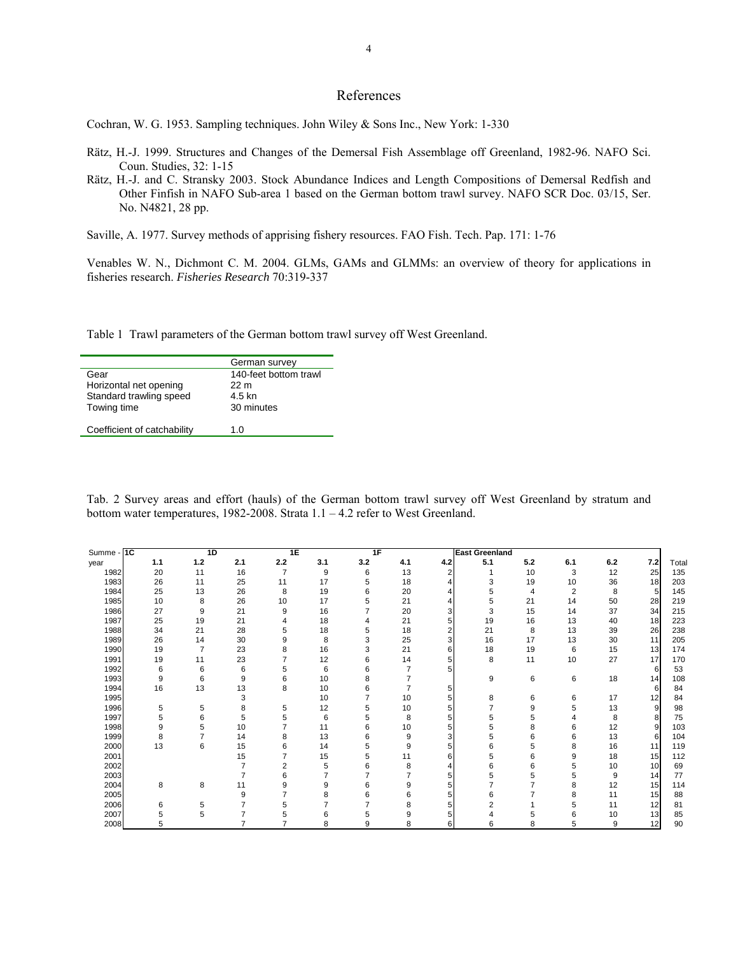## References

Cochran, W. G. 1953. Sampling techniques. John Wiley & Sons Inc., New York: 1-330

- Rätz, H.-J. 1999. Structures and Changes of the Demersal Fish Assemblage off Greenland, 1982-96. NAFO Sci. Coun. Studies, 32: 1-15
- Rätz, H.-J. and C. Stransky 2003. Stock Abundance Indices and Length Compositions of Demersal Redfish and Other Finfish in NAFO Sub-area 1 based on the German bottom trawl survey. NAFO SCR Doc. 03/15, Ser. No. N4821, 28 pp.

Saville, A. 1977. Survey methods of apprising fishery resources. FAO Fish. Tech. Pap. 171: 1-76

Venables W. N., Dichmont C. M. 2004. GLMs, GAMs and GLMMs: an overview of theory for applications in fisheries research. *Fisheries Research* 70:319-337

Table 1 Trawl parameters of the German bottom trawl survey off West Greenland.

|                             | German survey         |
|-----------------------------|-----------------------|
| Gear                        | 140-feet bottom trawl |
| Horizontal net opening      | 22 m                  |
| Standard trawling speed     | 4.5 kn                |
| Towing time                 | 30 minutes            |
|                             |                       |
| Coefficient of catchability | 1.0                   |

Tab. 2 Survey areas and effort (hauls) of the German bottom trawl survey off West Greenland by stratum and bottom water temperatures, 1982-2008. Strata 1.1 – 4.2 refer to West Greenland.

| Summe - | 1C  | 1D             |                | 1E             |                | 1F             |     |                         | <b>East Greenland</b> |     |     |     |     |       |
|---------|-----|----------------|----------------|----------------|----------------|----------------|-----|-------------------------|-----------------------|-----|-----|-----|-----|-------|
| year    | 1.1 | 1.2            | 2.1            | 2.2            | 3.1            | 3.2            | 4.1 | 4.2                     | 5.1                   | 5.2 | 6.1 | 6.2 | 7.2 | Total |
| 1982    | 20  | 11             | 16             | $\overline{7}$ | 9              | 6              | 13  | 2                       |                       | 10  | 3   | 12  | 25  | 135   |
| 1983    | 26  | 11             | 25             | 11             | 17             | 5              | 18  | 4                       | 3                     | 19  | 10  | 36  | 18  | 203   |
| 1984    | 25  | 13             | 26             | 8              | 19             | 6              | 20  | 4                       | 5                     | 4   | 2   | 8   | 5   | 145   |
| 1985    | 10  | 8              | 26             | 10             | 17             | 5              | 21  | 4                       | 5                     | 21  | 14  | 50  | 28  | 219   |
| 1986    | 27  | 9              | 21             | 9              | 16             | $\overline{7}$ | 20  | 3                       | 3                     | 15  | 14  | 37  | 34  | 215   |
| 1987    | 25  | 19             | 21             | 4              | 18             | 4              | 21  | 5                       | 19                    | 16  | 13  | 40  | 18  | 223   |
| 1988    | 34  | 21             | 28             | 5              | 18             | 5              | 18  | $\overline{\mathbf{c}}$ | 21                    | 8   | 13  | 39  | 26  | 238   |
| 1989    | 26  | 14             | 30             | 9              | 8              | 3              | 25  | 3                       | 16                    | 17  | 13  | 30  | 11  | 205   |
| 1990    | 19  | 7              | 23             | 8              | 16             | 3              | 21  | 6                       | 18                    | 19  | 6   | 15  | 13  | 174   |
| 1991    | 19  | 11             | 23             | 7              | 12             | 6              | 14  | 5                       | 8                     | 11  | 10  | 27  | 17  | 170   |
| 1992    | 6   | 6              | 6              | 5              | 6              | 6              |     | 5                       |                       |     |     |     | 6   | 53    |
| 1993    | 9   | 6              | 9              | 6              | 10             | 8              |     |                         | 9                     | 6   | 6   | 18  | 14  | 108   |
| 1994    | 16  | 13             | 13             | 8              | 10             | 6              | 7   | 5                       |                       |     |     |     | 6   | 84    |
| 1995    |     |                | 3              |                | 10             | $\overline{7}$ | 10  | 5                       | 8                     | 6   | 6   | 17  | 12  | 84    |
| 1996    | 5   | 5              | 8              | 5              | 12             | 5              | 10  | 5                       |                       | 9   | 5   | 13  | 9   | 98    |
| 1997    | 5   | 6              | 5              | 5              | 6              | 5              | 8   | 5                       | 5                     | 5   | 4   | 8   | 8   | 75    |
| 1998    | 9   | 5              | 10             | 7              | 11             | 6              | 10  | 5                       | 5                     | 8   | 6   | 12  | 9   | 103   |
| 1999    | 8   | $\overline{7}$ | 14             | 8              | 13             | 6              | 9   | 3                       | 5                     | 6   | 6   | 13  | 6   | 104   |
| 2000    | 13  | 6              | 15             | 6              | 14             | 5              | 9   | 5                       | 6                     | 5   | 8   | 16  | 11  | 119   |
| 2001    |     |                | 15             | 7              | 15             | 5              | 11  | 6                       | 5                     | 6   | 9   | 18  | 15  | 112   |
| 2002    |     |                | 7              | 2              | 5              | 6              | 8   | 4                       | 6                     | 6   | 5   | 10  | 10  | 69    |
| 2003    |     |                | $\overline{7}$ | 6              | $\overline{7}$ | $\overline{7}$ | 7   | 5                       | 5                     | 5   | 5   | 9   | 14  | 77    |
| 2004    | 8   | 8              | 11             | 9              | 9              | 6              | 9   | 5                       |                       |     | 8   | 12  | 15  | 114   |
| 2005    |     |                | 9              | 7              | 8              | 6              | 6   | 5                       | 6                     |     | 8   | 11  | 15  | 88    |
| 2006    | 6   | 5              |                | 5              | 7              |                | 8   | 5                       |                       |     | 5   | 11  | 12  | 81    |
| 2007    | 5   | 5              |                | 5              | 6              | 5              | 9   |                         |                       | 5   | 6   | 10  | 13  | 85    |
| 2008    | 5   |                |                | 7              | 8              | 9              | 8   | 6                       | 6                     | 8   | 5   | 9   | 12  | 90    |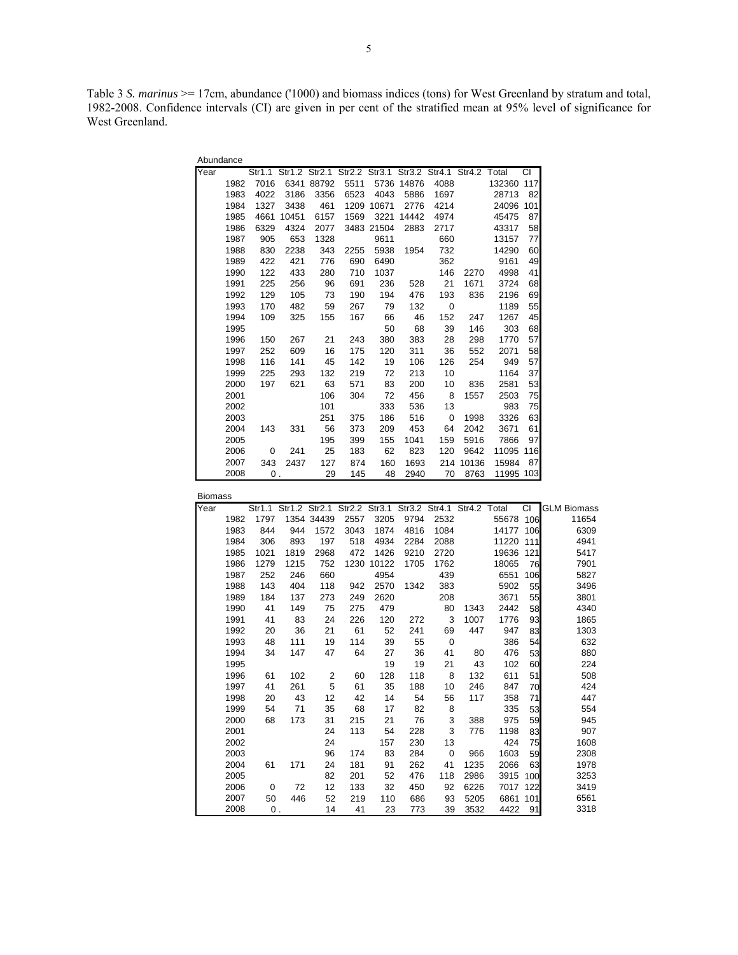Table 3 *S. marinus* >= 17cm, abundance ('1000) and biomass indices (tons) for West Greenland by stratum and total, 1982-2008. Confidence intervals (CI) are given in per cent of the stratified mean at 95% level of significance for West Greenland.

| Abundance |      |         |                      |       |               |       |       |                      |       |        |     |
|-----------|------|---------|----------------------|-------|---------------|-------|-------|----------------------|-------|--------|-----|
| Year      |      |         | Str1.1 Str1.2 Str2.1 |       | Str2.2 Str3.1 |       |       | Str3.2 Str4.1 Str4.2 |       | Total  | СI  |
|           | 1982 | 7016    | 6341                 | 88792 | 5511          | 5736  | 14876 | 4088                 |       | 132360 | 117 |
|           | 1983 | 4022    | 3186                 | 3356  | 6523          | 4043  | 5886  | 1697                 |       | 28713  | 82  |
|           | 1984 | 1327    | 3438                 | 461   | 1209          | 10671 | 2776  | 4214                 |       | 24096  | 101 |
|           | 1985 | 4661    | 10451                | 6157  | 1569          | 3221  | 14442 | 4974                 |       | 45475  | 87  |
|           | 1986 | 6329    | 4324                 | 2077  | 3483          | 21504 | 2883  | 2717                 |       | 43317  | 58  |
|           | 1987 | 905     | 653                  | 1328  |               | 9611  |       | 660                  |       | 13157  | 77  |
|           | 1988 | 830     | 2238                 | 343   | 2255          | 5938  | 1954  | 732                  |       | 14290  | 60  |
|           | 1989 | 422     | 421                  | 776   | 690           | 6490  |       | 362                  |       | 9161   | 49  |
|           | 1990 | 122     | 433                  | 280   | 710           | 1037  |       | 146                  | 2270  | 4998   | 41  |
|           | 1991 | 225     | 256                  | 96    | 691           | 236   | 528   | 21                   | 1671  | 3724   | 68  |
|           | 1992 | 129     | 105                  | 73    | 190           | 194   | 476   | 193                  | 836   | 2196   | 69  |
|           | 1993 | 170     | 482                  | 59    | 267           | 79    | 132   | 0                    |       | 1189   | 55  |
|           | 1994 | 109     | 325                  | 155   | 167           | 66    | 46    | 152                  | 247   | 1267   | 45  |
|           | 1995 |         |                      |       |               | 50    | 68    | 39                   | 146   | 303    | 68  |
|           | 1996 | 150     | 267                  | 21    | 243           | 380   | 383   | 28                   | 298   | 1770   | 57  |
|           | 1997 | 252     | 609                  | 16    | 175           | 120   | 311   | 36                   | 552   | 2071   | 58  |
|           | 1998 | 116     | 141                  | 45    | 142           | 19    | 106   | 126                  | 254   | 949    | 57  |
|           | 1999 | 225     | 293                  | 132   | 219           | 72    | 213   | 10                   |       | 1164   | 37  |
|           | 2000 | 197     | 621                  | 63    | 571           | 83    | 200   | 10                   | 836   | 2581   | 53  |
|           | 2001 |         |                      | 106   | 304           | 72    | 456   | 8                    | 1557  | 2503   | 75  |
|           | 2002 |         |                      | 101   |               | 333   | 536   | 13                   |       | 983    | 75  |
|           | 2003 |         |                      | 251   | 375           | 186   | 516   | 0                    | 1998  | 3326   | 63  |
|           | 2004 | 143     | 331                  | 56    | 373           | 209   | 453   | 64                   | 2042  | 3671   | 61  |
|           | 2005 |         |                      | 195   | 399           | 155   | 1041  | 159                  | 5916  | 7866   | 97  |
|           | 2006 | 0       | 241                  | 25    | 183           | 62    | 823   | 120                  | 9642  | 11095  | 116 |
|           | 2007 | 343     | 2437                 | 127   | 874           | 160   | 1693  | 214                  | 10136 | 15984  | 87  |
|           | 2008 | $0_{.}$ |                      | 29    | 145           | 48    | 2940  | 70                   | 8763  | 11995  | 103 |

| <b>Biomass</b> |      |                |      |                |                                                               |       |      |             |      |       |     |                    |
|----------------|------|----------------|------|----------------|---------------------------------------------------------------|-------|------|-------------|------|-------|-----|--------------------|
| Year           |      |                |      |                | Str1.1 Str1.2 Str2.1 Str2.2 Str3.1 Str3.2 Str4.1 Str4.2 Total |       |      |             |      |       | СI  | <b>GLM Biomass</b> |
|                | 1982 | 1797           |      | 1354 34439     | 2557                                                          | 3205  | 9794 | 2532        |      | 55678 | 106 | 11654              |
|                | 1983 | 844            | 944  | 1572           | 3043                                                          | 1874  | 4816 | 1084        |      | 14177 | 106 | 6309               |
|                | 1984 | 306            | 893  | 197            | 518                                                           | 4934  | 2284 | 2088        |      | 11220 | 111 | 4941               |
|                | 1985 | 1021           | 1819 | 2968           | 472                                                           | 1426  | 9210 | 2720        |      | 19636 | 121 | 5417               |
|                | 1986 | 1279           | 1215 | 752            | 1230                                                          | 10122 | 1705 | 1762        |      | 18065 | 76  | 7901               |
|                | 1987 | 252            | 246  | 660            |                                                               | 4954  |      | 439         |      | 6551  | 106 | 5827               |
|                | 1988 | 143            | 404  | 118            | 942                                                           | 2570  | 1342 | 383         |      | 5902  | 55  | 3496               |
|                | 1989 | 184            | 137  | 273            | 249                                                           | 2620  |      | 208         |      | 3671  | 55  | 3801               |
|                | 1990 | 41             | 149  | 75             | 275                                                           | 479   |      | 80          | 1343 | 2442  | 58  | 4340               |
|                | 1991 | 41             | 83   | 24             | 226                                                           | 120   | 272  | 3           | 1007 | 1776  | 93  | 1865               |
|                | 1992 | 20             | 36   | 21             | 61                                                            | 52    | 241  | 69          | 447  | 947   | 83  | 1303               |
|                | 1993 | 48             | 111  | 19             | 114                                                           | 39    | 55   | $\mathbf 0$ |      | 386   | 54  | 632                |
|                | 1994 | 34             | 147  | 47             | 64                                                            | 27    | 36   | 41          | 80   | 476   | 53  | 880                |
|                | 1995 |                |      |                |                                                               | 19    | 19   | 21          | 43   | 102   | 60  | 224                |
|                | 1996 | 61             | 102  | $\overline{2}$ | 60                                                            | 128   | 118  | 8           | 132  | 611   | 51  | 508                |
|                | 1997 | 41             | 261  | 5              | 61                                                            | 35    | 188  | 10          | 246  | 847   | 70  | 424                |
|                | 1998 | 20             | 43   | 12             | 42                                                            | 14    | 54   | 56          | 117  | 358   | 71  | 447                |
|                | 1999 | 54             | 71   | 35             | 68                                                            | 17    | 82   | 8           |      | 335   | 53  | 554                |
|                | 2000 | 68             | 173  | 31             | 215                                                           | 21    | 76   | 3           | 388  | 975   | 59  | 945                |
|                | 2001 |                |      | 24             | 113                                                           | 54    | 228  | 3           | 776  | 1198  | 83  | 907                |
|                | 2002 |                |      | 24             |                                                               | 157   | 230  | 13          |      | 424   | 75  | 1608               |
|                | 2003 |                |      | 96             | 174                                                           | 83    | 284  | 0           | 966  | 1603  | 59  | 2308               |
|                | 2004 | 61             | 171  | 24             | 181                                                           | 91    | 262  | 41          | 1235 | 2066  | 63  | 1978               |
|                | 2005 |                |      | 82             | 201                                                           | 52    | 476  | 118         | 2986 | 3915  | 100 | 3253               |
|                | 2006 | 0              | 72   | 12             | 133                                                           | 32    | 450  | 92          | 6226 | 7017  | 122 | 3419               |
|                | 2007 | 50             | 446  | 52             | 219                                                           | 110   | 686  | 93          | 5205 | 6861  | 101 | 6561               |
|                | 2008 | $\mathbf{0}$ . |      | 14             | 41                                                            | 23    | 773  | 39          | 3532 | 4422  | 91  | 3318               |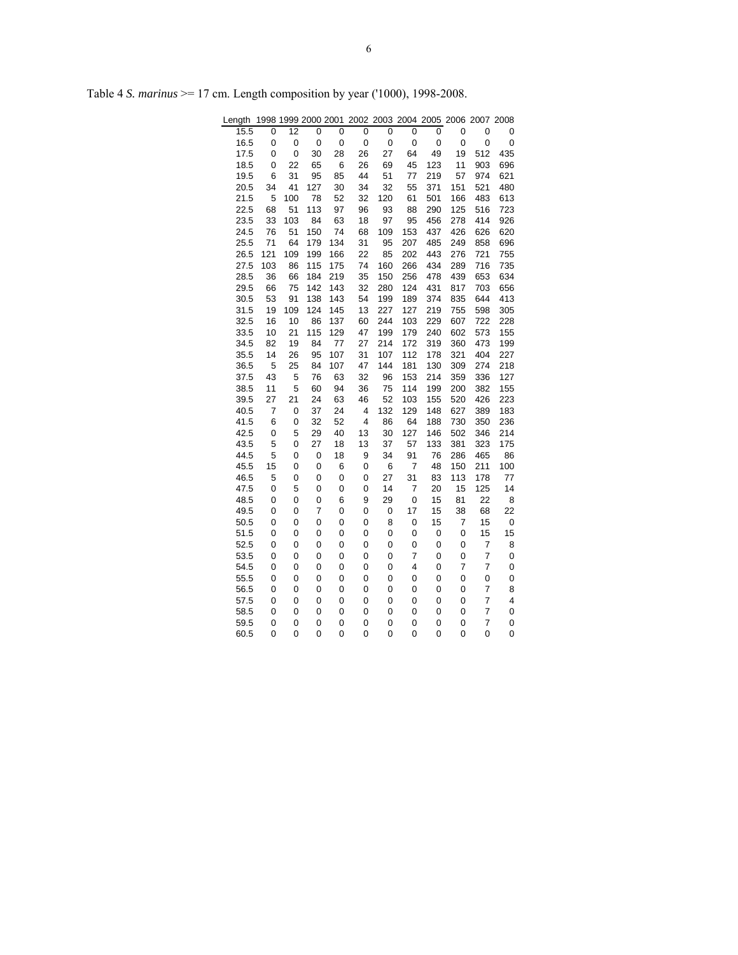| Length       |        |        | 1998 1999 2000 2001 |          | 2002     | 2003 2004 2005 2006 2007 2008 |           |            |                |                           |            |
|--------------|--------|--------|---------------------|----------|----------|-------------------------------|-----------|------------|----------------|---------------------------|------------|
| 15.5         | 0      | 12     | 0                   | 0        | 0        | 0                             | 0         | 0          | 0              | 0                         | 0          |
| 16.5         | 0      | 0      | $\mathbf 0$         | 0        | 0        | 0                             | 0         | 0          | 0              | 0                         | 0          |
| 17.5         | 0      | 0      | 30                  | 28       | 26       | 27                            | 64        | 49         | 19             | 512                       | 435        |
| 18.5         | 0      | 22     | 65                  | 6        | 26       | 69                            | 45        | 123        | 11             | 903                       | 696        |
| 19.5         | 6      | 31     | 95                  | 85       | 44       | 51                            | 77        | 219        | 57             | 974                       | 621        |
| 20.5         | 34     | 41     | 127                 | 30       | 34       | 32                            | 55        | 371        | 151            | 521                       | 480        |
| 21.5         | 5      | 100    | 78                  | 52       | 32       | 120                           | 61        | 501        | 166            | 483                       | 613        |
| 22.5         | 68     | 51     | 113                 | 97       | 96       | 93                            | 88        | 290        | 125            | 516                       | 723        |
| 23.5         | 33     | 103    | 84                  | 63       | 18       | 97                            | 95        | 456        | 278            | 414                       | 926        |
| 24.5         | 76     | 51     | 150                 | 74       | 68       | 109                           | 153       | 437        | 426            | 626                       | 620        |
| 25.5         | 71     | 64     | 179                 | 134      | 31       | 95                            | 207       | 485        | 249            | 858                       | 696        |
| 26.5         | 121    | 109    | 199                 | 166      | 22       | 85                            | 202       | 443        | 276            | 721                       | 755        |
| 27.5         | 103    | 86     | 115                 | 175      | 74       | 160                           | 266       | 434        | 289            | 716                       | 735        |
| 28.5         | 36     | 66     | 184                 | 219      | 35       | 150                           | 256       | 478        | 439            | 653                       | 634        |
| 29.5         | 66     | 75     | 142                 | 143      | 32       | 280                           | 124       | 431        | 817            | 703                       | 656        |
| 30.5         | 53     | 91     | 138                 | 143      | 54       | 199                           | 189       | 374        | 835            | 644                       | 413        |
| 31.5         | 19     | 109    | 124                 | 145      | 13       | 227                           | 127       | 219        | 755            | 598                       | 305        |
| 32.5         | 16     | 10     | 86                  | 137      | 60       | 244                           | 103       | 229        | 607            | 722                       | 228        |
| 33.5         | 10     | 21     | 115                 | 129      | 47       | 199                           | 179       | 240        | 602            | 573                       | 155        |
| 34.5         | 82     | 19     | 84                  | 77       | 27       | 214                           | 172       | 319        | 360            | 473                       | 199        |
| 35.5         | 14     | 26     | 95                  | 107      | 31       | 107                           | 112       | 178        | 321            | 404                       | 227        |
| 36.5         | 5      | 25     | 84                  | 107      | 47       | 144                           | 181       | 130        | 309            | 274                       | 218        |
| 37.5         | 43     | 5      | 76                  | 63       | 32       | 96                            | 153       | 214        | 359            | 336                       | 127        |
| 38.5         | 11     | 5      | 60                  | 94       | 36       | 75                            | 114       | 199        | 200            | 382                       | 155        |
| 39.5         | 27     | 21     | 24<br>37            | 63       | 46       | 52                            | 103       | 155        | 520            | 426                       | 223        |
| 40.5         | 7      | 0      | 32                  | 24<br>52 | 4<br>4   | 132<br>86                     | 129       | 148        | 627<br>730     | 389<br>350                | 183<br>236 |
| 41.5         | 6      | 0      |                     |          |          |                               | 64        | 188<br>146 |                |                           |            |
| 42.5<br>43.5 | 0<br>5 | 5<br>0 | 29<br>27            | 40<br>18 | 13<br>13 | 30<br>37                      | 127<br>57 | 133        | 502<br>381     | 346<br>323                | 214<br>175 |
| 44.5         | 5      | 0      | 0                   | 18       | 9        | 34                            | 91        | 76         | 286            | 465                       | 86         |
| 45.5         | 15     | 0      | 0                   | 6        | 0        | 6                             | 7         | 48         | 150            | 211                       | 100        |
| 46.5         | 5      | 0      | 0                   | 0        | 0        | 27                            | 31        | 83         | 113            | 178                       | 77         |
| 47.5         | 0      | 5      | 0                   | 0        | 0        | 14                            | 7         | 20         | 15             | 125                       | 14         |
| 48.5         | 0      | 0      | 0                   | 6        | 9        | 29                            | 0         | 15         | 81             | 22                        | 8          |
| 49.5         | 0      | 0      | $\overline{7}$      | 0        | 0        | 0                             | 17        | 15         | 38             | 68                        | 22         |
| 50.5         | 0      | 0      | 0                   | 0        | 0        | 8                             | 0         | 15         | 7              | 15                        | 0          |
| 51.5         | 0      | 0      | 0                   | 0        | 0        | 0                             | 0         | 0          | 0              | 15                        | 15         |
| 52.5         | 0      | 0      | 0                   | 0        | 0        | 0                             | 0         | 0          | 0              | 7                         | 8          |
| 53.5         | 0      | 0      | 0                   | 0        | 0        | 0                             | 7         | 0          | 0              | 7                         | 0          |
| 54.5         | 0      | 0      | 0                   | 0        | 0        | 0                             | 4         | 0          | $\overline{7}$ | $\overline{\mathfrak{c}}$ | 0          |
| 55.5         | 0      | 0      | 0                   | 0        | 0        | 0                             | 0         | 0          | 0              | 0                         | 0          |
| 56.5         | 0      | 0      | 0                   | 0        | 0        | 0                             | 0         | 0          | 0              | $\overline{7}$            | 8          |
| 57.5         | 0      | 0      | 0                   | 0        | 0        | 0                             | 0         | 0          | 0              | 7                         | 4          |
| 58.5         | 0      | 0      | 0                   | 0        | 0        | 0                             | 0         | 0          | 0              | $\overline{7}$            | 0          |
| 59.5         | 0      | 0      | 0                   | 0        | 0        | 0                             | 0         | 0          | 0              | $\overline{7}$            | 0          |
| 60.5         | 0      | 0      | 0                   | 0        | 0        | 0                             | 0         | 0          | 0              | 0                         | 0          |
|              |        |        |                     |          |          |                               |           |            |                |                           |            |

Table 4 *S. marinus* >= 17 cm. Length composition by year ('1000), 1998-2008.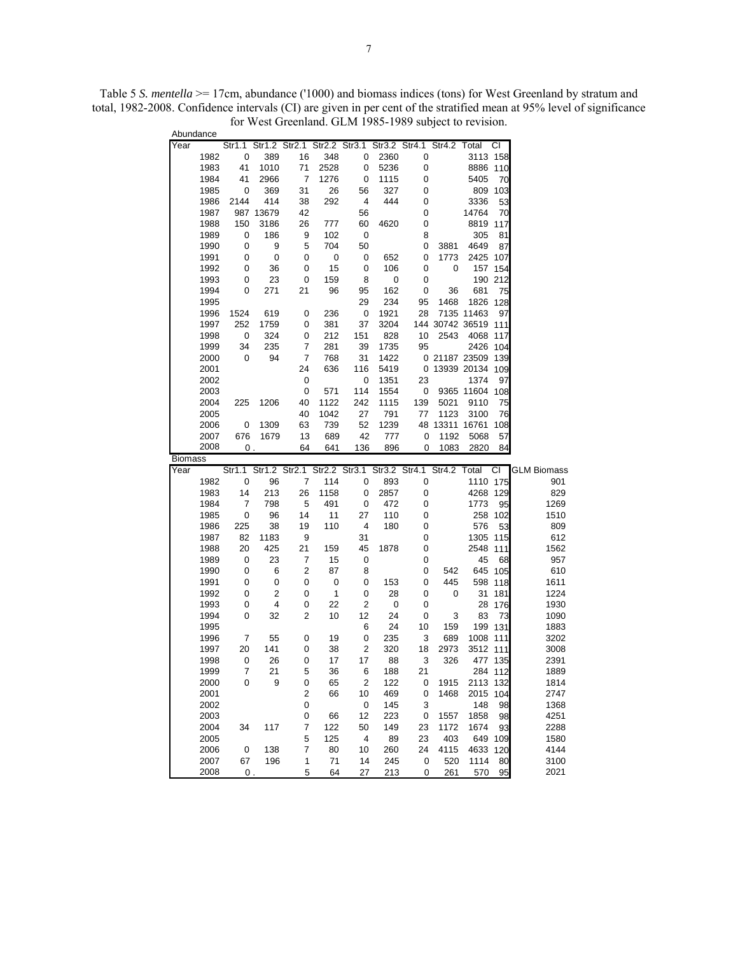| Abundance      |              |                      |             |                |               |                                           |             |           |                             |                |               |                    |
|----------------|--------------|----------------------|-------------|----------------|---------------|-------------------------------------------|-------------|-----------|-----------------------------|----------------|---------------|--------------------|
| Year           |              | Str1.1               |             |                |               | Str1.2 Str2.1 Str2.2 Str3.1 Str3.2 Str4.1 |             |           | Str4.2                      | Total          | СI            |                    |
|                | 1982         | 0                    | 389         | 16             | 348           | 0                                         | 2360        | 0         |                             | 3113 158       |               |                    |
|                | 1983         | 41                   | 1010        | 71             | 2528          | 0                                         | 5236        | 0         |                             | 8886 110       |               |                    |
|                | 1984         | 41                   | 2966        | $\overline{7}$ | 1276          | 0                                         | 1115        | 0         |                             | 5405           | 70            |                    |
|                | 1985         | 0                    | 369         | 31             | 26            | 56                                        | 327         | 0         |                             |                | 809 103       |                    |
|                | 1986         | 2144                 | 414         | 38             | 292           | 4                                         | 444         | 0         |                             | 3336           | 53            |                    |
|                | 1987         |                      | 987 13679   | 42             |               | 56                                        |             | 0         |                             | 14764          | 70            |                    |
|                | 1988         | 150                  | 3186        | 26             | 777           | 60                                        | 4620        | 0         |                             | 8819 117       |               |                    |
|                | 1989         | 0                    | 186         | 9              | 102           | 0                                         |             | 8         |                             | 305            | 81            |                    |
|                | 1990         | 0                    | 9           | 5              | 704           | 50                                        |             | 0         | 3881                        | 4649           | 87            |                    |
|                | 1991         | 0                    | 0           | 0              | 0             | 0                                         | 652         | 0         | 1773                        | 2425 107       |               |                    |
|                | 1992         | 0                    | 36          | 0              | 15            | 0                                         | 106         | 0         | 0                           |                | 157 154       |                    |
|                | 1993         | 0                    | 23          | 0              | 159           | 8                                         | 0           | 0         |                             |                | 190 212       |                    |
|                | 1994         | 0                    | 271         | 21             | 96            | 95                                        | 162         | 0         | 36                          | 681            | 75            |                    |
|                | 1995         |                      |             |                |               | 29                                        | 234         | 95        | 1468                        | 1826 128       |               |                    |
|                | 1996         | 1524                 | 619         | 0              | 236           | 0                                         | 1921        | 28        |                             | 7135 11463     | 97            |                    |
|                | 1997<br>1998 | 252<br>0             | 1759<br>324 | 0<br>0         | 381<br>212    | 37<br>151                                 | 3204<br>828 | 10        | 144 30742 36519 111<br>2543 | 4068 117       |               |                    |
|                | 1999         | 34                   | 235         | 7              | 281           | 39                                        | 1735        | 95        |                             | 2426 104       |               |                    |
|                | 2000         | 0                    | 94          | 7              | 768           | 31                                        | 1422        |           | 0 21187 23509 139           |                |               |                    |
|                | 2001         |                      |             | 24             | 636           | 116                                       | 5419        |           | 0 13939 20134 109           |                |               |                    |
|                | 2002         |                      |             | 0              |               | 0                                         | 1351        | 23        |                             | 1374           | 97            |                    |
|                | 2003         |                      |             | 0              | 571           | 114                                       | 1554        | 0         |                             | 9365 11604 108 |               |                    |
|                | 2004         | 225                  | 1206        | 40             | 1122          | 242                                       | 1115        | 139       | 5021                        | 9110           | 75            |                    |
|                | 2005         |                      |             | 40             | 1042          | 27                                        | 791         | 77        | 1123                        | 3100           | 76            |                    |
|                | 2006         | 0                    | 1309        | 63             | 739           | 52                                        | 1239        |           | 48 13311 16761 108          |                |               |                    |
|                | 2007         | 676                  | 1679        | 13             | 689           | 42                                        | 777         | 0         | 1192                        | 5068           | 57            |                    |
|                | 2008         | 0.                   |             | 64             | 641           | 136                                       | 896         | 0         | 1083                        | 2820           | 84            |                    |
|                |              |                      |             |                |               |                                           |             |           |                             |                |               |                    |
| <b>Biomass</b> |              |                      |             |                |               |                                           |             |           |                             |                |               |                    |
| Year           |              | Str1.1 Str1.2 Str2.1 |             |                | Str2.2 Str3.1 |                                           |             |           | Str3.2 Str4.1 Str4.2 Total  |                | CI            | <b>GLM Biomass</b> |
|                | 1982         | 0                    | 96          | 7              | 114           | 0                                         | 893         | 0         |                             | 1110 175       |               | 901                |
|                | 1983         | 14                   | 213         | 26             | 1158          | 0                                         | 2857        | 0         |                             | 4268 129       |               | 829                |
|                | 1984         | 7                    | 798         | 5              | 491           | 0                                         | 472         | 0         |                             | 1773           | 95            | 1269               |
|                | 1985         | 0                    | 96          | 14             | 11            | 27                                        | 110         | 0         |                             |                | 258 102       | 1510               |
|                | 1986         | 225                  | 38          | 19             | 110           | 4                                         | 180         | 0         |                             | 576            | 53            | 809                |
|                | 1987         | 82                   | 1183        | 9              |               | 31                                        |             | 0         |                             | 1305 115       |               | 612                |
|                | 1988         | 20                   | 425         | 21             | 159           | 45                                        | 1878        | 0         |                             | 2548           | 111           | 1562               |
|                | 1989         | 0                    | 23          | 7              | 15            | 0                                         |             | 0         |                             | 45             | 68            | 957                |
|                | 1990         | 0                    | 6           | 2              | 87            | 8                                         |             | 0         | 542                         |                | 645 105       | 610                |
|                | 1991         | 0                    | 0           | 0              | 0             | 0                                         | 153         | 0         | 445                         | 598            | 118           | 1611               |
|                | 1992         | 0                    | 2           | 0              | 1             | 0                                         | 28          | 0         | 0                           | 31             | 181           | 1224               |
|                | 1993         | 0                    | 4           | 0              | 22            | 2                                         | 0           | 0         |                             | 28             | 176           | 1930               |
|                | 1994         | 0                    | 32          | 2              | 10            | 12                                        | 24          | 0         | 3                           | 83             | 73            | 1090               |
|                | 1995         |                      |             |                |               | 6                                         | 24          | 10        | 159                         |                | 199 131       | 1883               |
|                | 1996         | 7                    | 55          | 0              | 19            | 0                                         | 235         | 3         | 689                         | 1008 111       |               | 3202               |
|                | 1997         | 20                   | 141         | 0              | 38            | 2                                         | 320         | 18        | 2973                        | 3512 111       |               | 3008               |
|                | 1998         | 0                    | 26          | 0              | 17            | 17                                        | 88          | 3         | 326                         |                | 477 135       | 2391               |
|                | 1999         | 7                    | 21          | 5              | 36            | 6                                         | 188         | 21        |                             |                | 284 112       | 1889               |
|                | 2000         | 0                    | 9           | 0              | 65            | $\overline{c}$                            | 122         | 0         | 1915                        | 2113 132       |               | 1814               |
|                | 2001         |                      |             | $\overline{c}$ | 66            | 10                                        | 469         | 0         | 1468                        | 2015           | 104           | 2747               |
|                | 2002         |                      |             | 0              |               | 0                                         | 145         | 3         |                             | 148            | 98            | 1368               |
|                | 2003         |                      |             | 0              | 66            | 12                                        | 223         | 0         | 1557                        | 1858           | 98            | 4251               |
|                | 2004<br>2005 | 34                   | 117         | 7              | 122<br>125    | 50<br>4                                   | 149         | 23<br>23  | 1172                        | 1674           | 93<br>649 109 | 2288<br>1580       |
|                | 2006         |                      | 138         | 5<br>7         |               |                                           | 89          | 24        | 403                         |                |               | 4144               |
|                | 2007         | 0<br>67              | 196         | $\mathbf{1}$   | 80<br>71      | 10<br>14                                  | 260<br>245  | $\pmb{0}$ | 4115<br>520                 | 4633<br>1114   | 120<br>80     | 3100               |

Table 5 *S. mentella* >= 17cm, abundance ('1000) and biomass indices (tons) for West Greenland by stratum and total, 1982-2008. Confidence intervals (CI) are given in per cent of the stratified mean at 95% level of significance for West Greenland. GLM 1985-1989 subject to revision.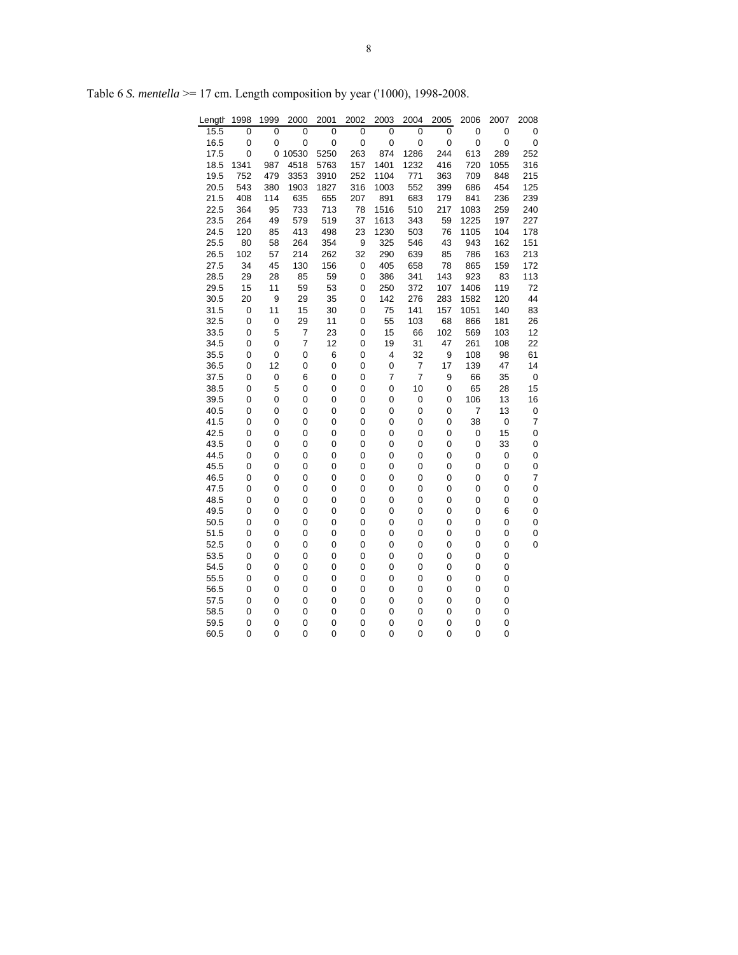| Length       | 1998   | 1999   | 2000           | 2001   | 2002        | 2003                | 2004                             | 2005   | 2006     | 2007        | 2008                |
|--------------|--------|--------|----------------|--------|-------------|---------------------|----------------------------------|--------|----------|-------------|---------------------|
| 15.5         | 0      | 0      | 0              | 0      | 0           | 0                   | 0                                | 0      | 0        | $\pmb{0}$   | 0                   |
| 16.5         | 0      | 0      | 0              | 0      | $\mathbf 0$ | 0                   | 0                                | 0      | 0        | $\mathbf 0$ | $\pmb{0}$           |
| 17.5         | 0      |        | 0 10530        | 5250   | 263         | 874                 | 1286                             | 244    | 613      | 289         | 252                 |
| 18.5         | 1341   | 987    | 4518           | 5763   | 157         | 1401                | 1232                             | 416    | 720      | 1055        | 316                 |
| 19.5         | 752    | 479    | 3353           | 3910   | 252         | 1104                | 771                              | 363    | 709      | 848         | 215                 |
| 20.5         | 543    | 380    | 1903           | 1827   | 316         | 1003                | 552                              | 399    | 686      | 454         | 125                 |
| 21.5         | 408    | 114    | 635            | 655    | 207         | 891                 | 683                              | 179    | 841      | 236         | 239                 |
| 22.5         | 364    | 95     | 733            | 713    | 78          | 1516                | 510                              | 217    | 1083     | 259         | 240                 |
| 23.5         | 264    | 49     | 579            | 519    | 37          | 1613                | 343                              | 59     | 1225     | 197         | 227                 |
| 24.5         | 120    | 85     | 413            | 498    | 23          | 1230                | 503                              | 76     | 1105     | 104         | 178                 |
| 25.5         | 80     | 58     | 264            | 354    | 9           | 325                 | 546                              | 43     | 943      | 162         | 151                 |
| 26.5         | 102    | 57     | 214            | 262    | 32          | 290                 | 639                              | 85     | 786      | 163         | 213                 |
| 27.5         | 34     | 45     | 130            | 156    | 0           | 405                 | 658                              | 78     | 865      | 159         | 172                 |
| 28.5         | 29     | 28     | 85             | 59     | 0           | 386                 | 341                              | 143    | 923      | 83          | 113                 |
| 29.5         | 15     | 11     | 59             | 53     | 0           | 250                 | 372                              | 107    | 1406     | 119         | 72                  |
| 30.5         | 20     | 9      | 29             | 35     | 0           | 142                 | 276                              | 283    | 1582     | 120         | 44                  |
| 31.5         | 0      | 11     | 15             | 30     | 0           | 75                  | 141                              | 157    | 1051     | 140         | 83                  |
| 32.5         | 0      | 0      | 29             | 11     | 0           | 55                  | 103                              | 68     | 866      | 181         | 26                  |
| 33.5         | 0      | 5      | 7              | 23     | 0           | 15                  | 66                               | 102    | 569      | 103         | 12                  |
| 34.5         | 0      | 0      | $\overline{7}$ | 12     | 0           | 19                  | 31                               | 47     | 261      | 108         | 22                  |
| 35.5         | 0      | 0      | 0              | 6      | 0           | 4                   | 32                               | 9      | 108      | 98          | 61                  |
| 36.5         | 0      | 12     | 0              | 0      | 0           | 0<br>$\overline{7}$ | $\overline{7}$<br>$\overline{7}$ | 17     | 139      | 47          | 14                  |
| 37.5         | 0      | 0      | 6              | 0      | 0           |                     |                                  | 9      | 66       | 35          | $\mathbf 0$         |
| 38.5         | 0      | 5      | 0              | 0      | 0           | 0                   | 10                               | 0      | 65       | 28<br>13    | 15                  |
| 39.5<br>40.5 | 0<br>0 | 0<br>0 | 0<br>0         | 0<br>0 | 0<br>0      | 0<br>0              | 0<br>0                           | 0<br>0 | 106<br>7 | 13          | 16                  |
| 41.5         | 0      | 0      | 0              | 0      | 0           | 0                   | 0                                | 0      | 38       | $\mathbf 0$ | 0<br>$\overline{7}$ |
| 42.5         | 0      | 0      | 0              | 0      | 0           | 0                   | 0                                | 0      | 0        | 15          | $\mathbf 0$         |
| 43.5         | 0      | 0      | 0              | 0      | 0           | 0                   | 0                                | 0      | 0        | 33          | 0                   |
| 44.5         | 0      | 0      | 0              | 0      | 0           | 0                   | 0                                | 0      | 0        | $\pmb{0}$   | 0                   |
| 45.5         | 0      | 0      | 0              | 0      | 0           | 0                   | 0                                | 0      | 0        | 0           | 0                   |
| 46.5         | 0      | 0      | 0              | 0      | 0           | 0                   | 0                                | 0      | 0        | 0           | $\overline{7}$      |
| 47.5         | 0      | 0      | 0              | 0      | 0           | 0                   | 0                                | 0      | 0        | 0           | $\mathbf 0$         |
| 48.5         | 0      | 0      | 0              | 0      | 0           | 0                   | 0                                | 0      | 0        | 0           | $\mathbf 0$         |
| 49.5         | 0      | 0      | 0              | 0      | 0           | 0                   | 0                                | 0      | 0        | 6           | 0                   |
| 50.5         | 0      | 0      | 0              | 0      | 0           | 0                   | 0                                | 0      | 0        | 0           | $\mathbf 0$         |
| 51.5         | 0      | 0      | 0              | 0      | 0           | 0                   | 0                                | 0      | 0        | 0           | 0                   |
| 52.5         | 0      | 0      | 0              | 0      | 0           | 0                   | 0                                | 0      | 0        | 0           | 0                   |
| 53.5         | 0      | 0      | 0              | 0      | 0           | 0                   | 0                                | 0      | 0        | 0           |                     |
| 54.5         | 0      | 0      | 0              | 0      | 0           | 0                   | 0                                | 0      | 0        | $\pmb{0}$   |                     |
| 55.5         | 0      | 0      | 0              | 0      | 0           | 0                   | 0                                | 0      | 0        | 0           |                     |
| 56.5         | 0      | 0      | 0              | 0      | 0           | 0                   | 0                                | 0      | 0        | 0           |                     |
| 57.5         | 0      | 0      | 0              | 0      | 0           | 0                   | 0                                | 0      | 0        | 0           |                     |
| 58.5         | 0      | 0      | 0              | 0      | 0           | 0                   | 0                                | 0      | 0        | 0           |                     |
| 59.5         | 0      | 0      | 0              | 0      | 0           | 0                   | 0                                | 0      | 0        | 0           |                     |
| 60.5         | 0      | 0      | 0              | 0      | 0           | 0                   | 0                                | 0      | 0        | 0           |                     |

Table 6 *S. mentella* >= 17 cm. Length composition by year ('1000), 1998-2008.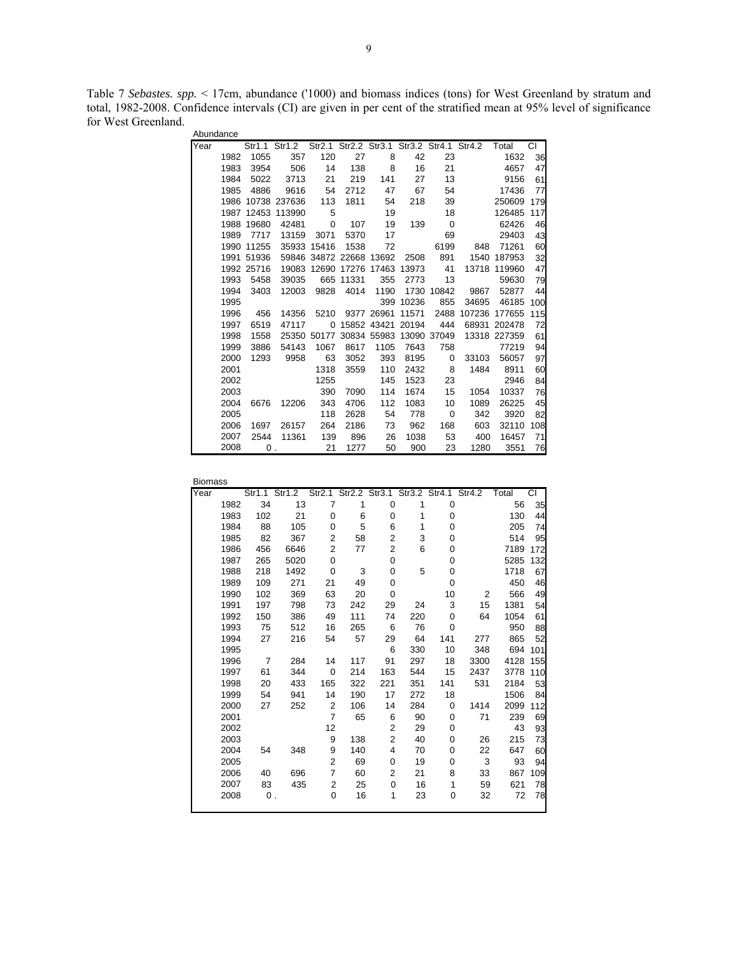Table 7 *Sebastes. spp.* < 17cm, abundance ('1000) and biomass indices (tons) for West Greenland by stratum and total, 1982-2008. Confidence intervals (CI) are given in per cent of the stratified mean at 95% level of significance for West Greenland. Abundance

| Abunuance |      |                           |                       |                         |                                     |      |           |                          |                                                               |               |               |
|-----------|------|---------------------------|-----------------------|-------------------------|-------------------------------------|------|-----------|--------------------------|---------------------------------------------------------------|---------------|---------------|
| Year      |      |                           |                       |                         |                                     |      |           |                          | Str1.1 Str1.2 Str2.1 Str2.2 Str3.1 Str3.2 Str4.1 Str4.2 Total |               | $\frac{1}{2}$ |
|           | 1982 | 1055                      | 357                   | 120                     | 27                                  | 8    | 42        | 23                       |                                                               | 1632          | 36            |
|           | 1983 | 3954                      | 506                   | 14                      | 138                                 | 8    | 16        | 21                       |                                                               | 4657          | 47            |
|           | 1984 | 5022                      | 3713                  | 21                      | 219                                 | 141  | 27        | 13                       |                                                               | 9156          | 61            |
|           | 1985 | 4886                      | 9616                  | 54                      | 2712                                | 47   | 67        | 54                       |                                                               | 17436         | 77            |
|           |      |                           | 1986 10738 237636 113 |                         | 1811                                | 54   | 218       | 39                       |                                                               | 250609        | 179           |
|           | 1987 |                           | 12453 113990          | $5^{\circ}$             |                                     | 19   |           | 18                       |                                                               | 126485        | 117           |
|           | 1988 | 19680                     | 42481                 | $\overline{\mathbf{0}}$ | 107                                 | 19   |           | 139 0                    |                                                               | 62426         | 46            |
|           | 1989 | 7717                      |                       | 13159 3071              | 5370                                | 17   |           | 69                       |                                                               | 29403         | 43            |
|           | 1990 | 11255                     |                       | 35933 15416             | 1538                                | 72   |           | 6199                     | 848                                                           | 71261         | 60            |
|           |      | 1991 51936                |                       |                         | 59846 34872 22668 13692             |      |           | 2508 891                 |                                                               | 1540 187953   | 32            |
|           |      | 1992 25716                |                       |                         | 19083 12690 17276 17463 13973 41    |      |           |                          |                                                               | 13718 119960  | 47            |
|           | 1993 | 5458                      | 39035                 |                         | 665 11331                           | 355  | 2773      | 13                       |                                                               | 59630         | 79            |
|           | 1994 | 3403                      | 12003                 |                         | 9828 4014                           | 1190 |           | 1730 10842               |                                                               | 9867 52877    | 44            |
|           | 1995 |                           |                       |                         |                                     |      | 399 10236 | 855                      | 34695                                                         | 46185         | 100           |
|           | 1996 | 456                       | 14356                 |                         | 5210 9377 26961 11571               |      |           | 2488                     |                                                               | 107236 177655 | 115           |
|           | 1997 | 6519                      | 47117                 |                         | 0 15852 43421 20194                 |      |           | 444                      |                                                               | 68931 202478  | 72            |
|           | 1998 | 1558                      |                       |                         | 25350 50177 30834 55983 13090 37049 |      |           |                          |                                                               | 13318 227359  | 61            |
|           | 1999 | 3886                      | 54143                 | 1067                    | 8617                                | 1105 | 7643      | 758                      |                                                               | 77219         | 94            |
|           | 2000 | 1293                      | 9958                  | 63                      | 3052                                | 393  |           | 8195 0                   | 33103                                                         | 56057         | 97            |
|           | 2001 |                           |                       | 1318                    | 3559                                | 110  |           | 2432 8                   | 1484                                                          | 8911          | 60            |
|           | 2002 |                           |                       | 1255                    |                                     | 145  | 1523      | 23                       |                                                               | 2946          | 84            |
|           | 2003 |                           |                       | 390                     | 7090                                | 114  | 1674      | 15                       | 1054                                                          | 10337         | 76            |
|           | 2004 |                           | 6676 12206            | 343                     | 4706                                | 112  | 1083      | 10                       | 1089                                                          | 26225         | 45            |
|           | 2005 |                           |                       | 118                     | 2628                                | 54   | 778       | $\overline{\phantom{0}}$ | 342                                                           | 3920          | 82            |
|           | 2006 | 1697                      | 26157                 | 264                     | 2186                                | 73   | 962       | 168                      | 603                                                           | 32110         | 108           |
|           | 2007 | 2544                      | 11361                 | 139                     | 896                                 | 26   | 1038      | 53                       | 400                                                           | 16457         | 71            |
|           | 2008 | $\overline{\mathbf{0}}$ . |                       | $\sim$ 21               | 1277                                | 50   | 900       | 23                       | 1280                                                          | 3551          | 76            |

| <b>Biomass</b> |      |     |               |     |     |                                           |     |          |      |       |     |
|----------------|------|-----|---------------|-----|-----|-------------------------------------------|-----|----------|------|-------|-----|
| Year           |      |     | Str1.1 Str1.2 |     |     | Str2.1 Str2.2 Str3.1 Str3.2 Str4.1 Str4.2 |     |          |      | Total | СI  |
|                | 1982 | 34  | 13            | 7   | 1   | 0                                         | 1   | 0        |      | 56    | 35  |
|                | 1983 | 102 | 21            | 0   | 6   | 0                                         | 1   | 0        |      | 130   | 44  |
|                | 1984 | 88  | 105           | 0   | 5   | 6                                         | 1   | 0        |      | 205   | 74  |
|                | 1985 | 82  | 367           | 2   | 58  | 2                                         | 3   | 0        |      | 514   | 95  |
|                | 1986 | 456 | 6646          | 2   | 77  | 2                                         | 6   | 0        |      | 7189  | 172 |
|                | 1987 | 265 | 5020          | 0   |     | 0                                         |     | 0        |      | 5285  | 132 |
|                | 1988 | 218 | 1492          | 0   | 3   | 0                                         | 5   | 0        |      | 1718  | 67  |
|                | 1989 | 109 | 271           | 21  | 49  | 0                                         |     | 0        |      | 450   | 46  |
|                | 1990 | 102 | 369           | 63  | 20  | 0                                         |     | 10       | 2    | 566   | 49  |
|                | 1991 | 197 | 798           | 73  | 242 | 29                                        | 24  | 3        | 15   | 1381  | 54  |
|                | 1992 | 150 | 386           | 49  | 111 | 74                                        | 220 | 0        | 64   | 1054  | 61  |
|                | 1993 | 75  | 512           | 16  | 265 | 6                                         | 76  | 0        |      | 950   | 88  |
|                | 1994 | 27  | 216           | 54  | 57  | 29                                        | 64  | 141      | 277  | 865   | 52  |
|                | 1995 |     |               |     |     | 6                                         | 330 | 10       | 348  | 694   | 101 |
|                | 1996 | 7   | 284           | 14  | 117 | 91                                        | 297 | 18       | 3300 | 4128  | 155 |
|                | 1997 | 61  | 344           | 0   | 214 | 163                                       | 544 | 15       | 2437 | 3778  | 110 |
|                | 1998 | 20  | 433           | 165 | 322 | 221                                       | 351 | 141      | 531  | 2184  | 53  |
|                | 1999 | 54  | 941           | 14  | 190 | 17                                        | 272 | 18       |      | 1506  | 84  |
|                | 2000 | 27  | 252           | 2   | 106 | 14                                        | 284 | $\Omega$ | 1414 | 2099  | 112 |
|                | 2001 |     |               | 7   | 65  | 6                                         | 90  | 0        | 71   | 239   | 69  |
|                | 2002 |     |               | 12  |     | $\overline{2}$                            | 29  | 0        |      | 43    | 93  |
|                | 2003 |     |               | 9   | 138 | $\overline{2}$                            | 40  | 0        | 26   | 215   | 73  |
|                | 2004 | 54  | 348           | 9   | 140 | 4                                         | 70  | 0        | 22   | 647   | 60  |
|                | 2005 |     |               | 2   | 69  | 0                                         | 19  | 0        | 3    | 93    | 94  |
|                | 2006 | 40  | 696           | 7   | 60  | 2                                         | 21  | 8        | 33   | 867   | 109 |
|                | 2007 | 83  | 435           | 2   | 25  | $\mathbf 0$                               | 16  | 1        | 59   | 621   | 78  |
|                | 2008 | 0.  |               | 0   | 16  | 1                                         | 23  | 0        | 32   | 72    | 78  |
|                |      |     |               |     |     |                                           |     |          |      |       |     |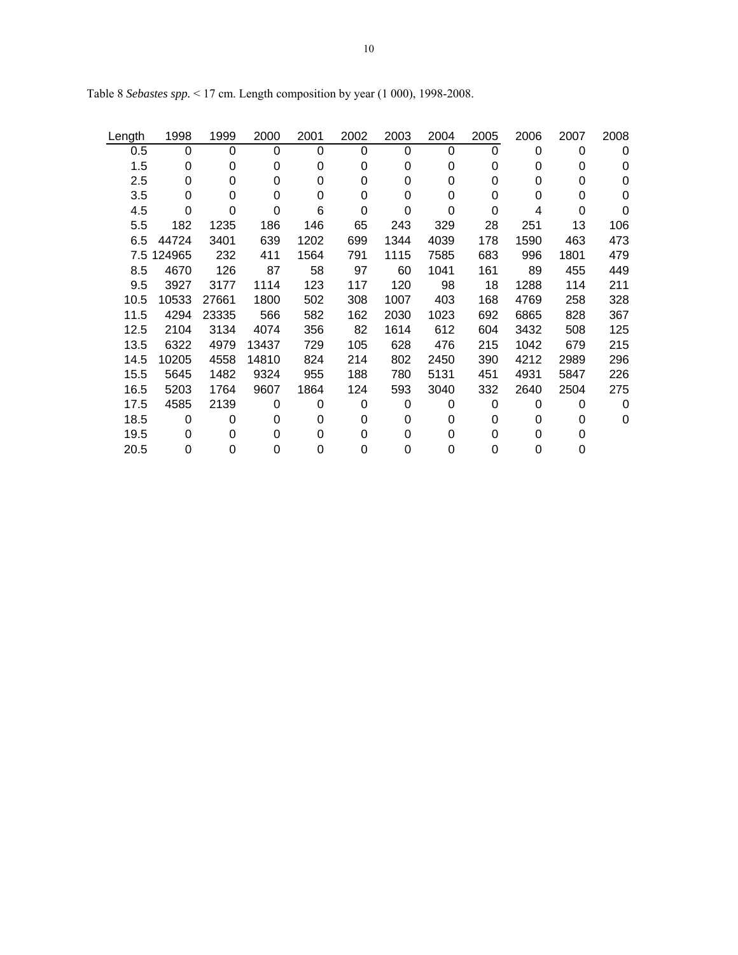| Length | 1998       | 1999  | 2000  | 2001 | 2002 | 2003 | 2004     | 2005 | 2006 | 2007 | 2008     |
|--------|------------|-------|-------|------|------|------|----------|------|------|------|----------|
| 0.5    | 0          | 0     | 0     | 0    | 0    | 0    | 0        | 0    | 0    | 0    | $\Omega$ |
| 1.5    | 0          | 0     | 0     | 0    | 0    | 0    | 0        | 0    | 0    | 0    | 0        |
| 2.5    | 0          | 0     | 0     | 0    | 0    | 0    | $\Omega$ | 0    | 0    | 0    | 0        |
| 3.5    | 0          | 0     | 0     | 0    | 0    | 0    | $\Omega$ | 0    | 0    | 0    | $\Omega$ |
| 4.5    | 0          | 0     | 0     | 6    | 0    | 0    | $\Omega$ | 0    | 4    | 0    | 0        |
| 5.5    | 182        | 1235  | 186   | 146  | 65   | 243  | 329      | 28   | 251  | 13   | 106      |
| 6.5    | 44724      | 3401  | 639   | 1202 | 699  | 1344 | 4039     | 178  | 1590 | 463  | 473      |
|        | 7.5 124965 | 232   | 411   | 1564 | 791  | 1115 | 7585     | 683  | 996  | 1801 | 479      |
| 8.5    | 4670       | 126   | 87    | 58   | 97   | 60   | 1041     | 161  | 89   | 455  | 449      |
| 9.5    | 3927       | 3177  | 1114  | 123  | 117  | 120  | 98       | 18   | 1288 | 114  | 211      |
| 10.5   | 10533      | 27661 | 1800  | 502  | 308  | 1007 | 403      | 168  | 4769 | 258  | 328      |
| 11.5   | 4294       | 23335 | 566   | 582  | 162  | 2030 | 1023     | 692  | 6865 | 828  | 367      |
| 12.5   | 2104       | 3134  | 4074  | 356  | 82   | 1614 | 612      | 604  | 3432 | 508  | 125      |
| 13.5   | 6322       | 4979  | 13437 | 729  | 105  | 628  | 476      | 215  | 1042 | 679  | 215      |
| 14.5   | 10205      | 4558  | 14810 | 824  | 214  | 802  | 2450     | 390  | 4212 | 2989 | 296      |
| 15.5   | 5645       | 1482  | 9324  | 955  | 188  | 780  | 5131     | 451  | 4931 | 5847 | 226      |
| 16.5   | 5203       | 1764  | 9607  | 1864 | 124  | 593  | 3040     | 332  | 2640 | 2504 | 275      |
| 17.5   | 4585       | 2139  | 0     | 0    | 0    | 0    | $\Omega$ | 0    | 0    | 0    | $\Omega$ |
| 18.5   | 0          | 0     | 0     | 0    | 0    | 0    | 0        | 0    | 0    | 0    | 0        |
| 19.5   | 0          | 0     | 0     | 0    | 0    | 0    | 0        | 0    | 0    | 0    |          |
| 20.5   | 0          | 0     | 0     | 0    | 0    | 0    | 0        | 0    | 0    | 0    |          |

Table 8 *Sebastes spp.* < 17 cm. Length composition by year (1 000), 1998-2008.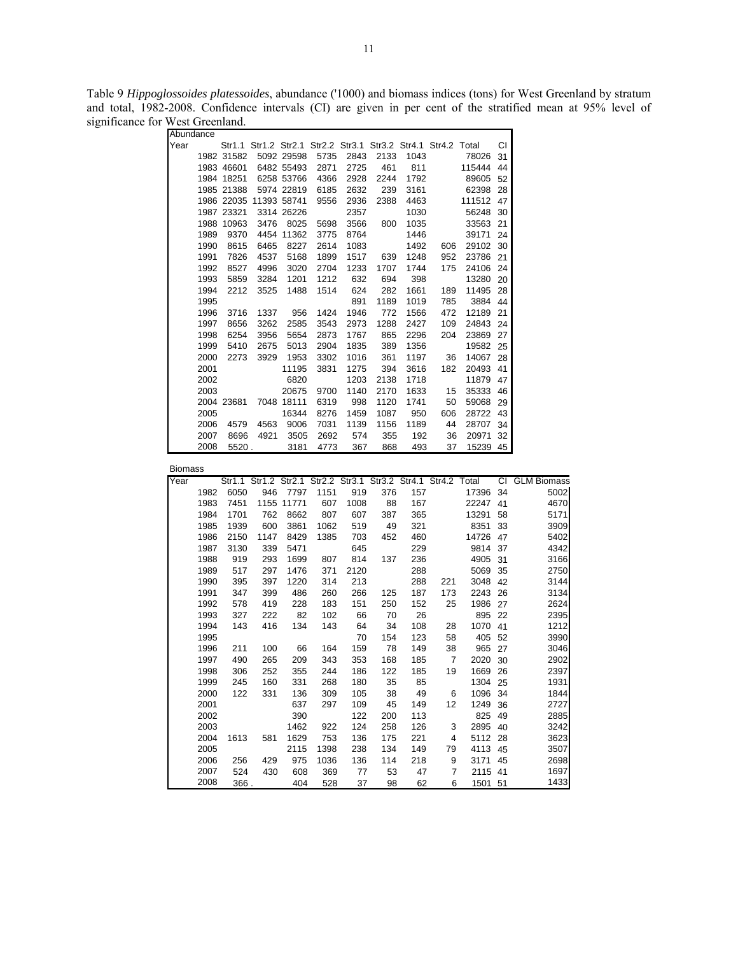Table 9 *Hippoglossoides platessoides*, abundance ('1000) and biomass indices (tons) for West Greenland by stratum and total, 1982-2008. Confidence intervals (CI) are given in per cent of the stratified mean at 95% level of significance for West Greenland.

|                | Abundance    |             |                        |              |            |                                                               |          |          |                |                    |    |                                                                              |
|----------------|--------------|-------------|------------------------|--------------|------------|---------------------------------------------------------------|----------|----------|----------------|--------------------|----|------------------------------------------------------------------------------|
| Year           |              |             |                        |              |            | Str1.1 Str1.2 Str2.1 Str2.2 Str3.1 Str3.2 Str4.1 Str4.2 Total |          |          |                |                    | СI |                                                                              |
|                |              | 1982 31582  |                        | 5092 29598   | 5735       | 2843                                                          | 2133     | 1043     |                | 78026              | 31 |                                                                              |
|                |              | 1983 46601  |                        | 6482 55493   | 2871       | 2725                                                          | 461      | 811      |                | 115444             | 44 |                                                                              |
|                |              | 1984 18251  |                        | 6258 53766   | 4366       | 2928                                                          | 2244     | 1792     |                | 89605 52           |    |                                                                              |
|                |              | 1985 21388  |                        | 5974 22819   | 6185       | 2632                                                          | 239      | 3161     |                | 62398 28           |    |                                                                              |
|                |              |             | 1986 22035 11393 58741 |              | 9556       | 2936                                                          | 2388     | 4463     |                | 111512 47          |    |                                                                              |
|                |              | 1987 23321  |                        | 3314 26226   |            | 2357                                                          |          | 1030     |                | 56248              | 30 |                                                                              |
|                |              | 1988 10963  | 3476                   | 8025         | 5698       | 3566                                                          | 800      | 1035     |                | 33563 21           |    |                                                                              |
|                | 1989         | 9370        |                        | 4454 11362   | 3775       | 8764                                                          |          | 1446     |                | 39171 24           |    |                                                                              |
|                | 1990         | 8615        | 6465                   | 8227         | 2614       | 1083                                                          |          | 1492     | 606            | 29102 30           |    |                                                                              |
|                | 1991         | 7826        | 4537                   | 5168         | 1899       | 1517                                                          | 639      | 1248     | 952            | 23786 21           |    |                                                                              |
|                | 1992         | 8527        | 4996                   | 3020         | 2704       | 1233                                                          | 1707     | 1744     | 175            | 24106 24           |    |                                                                              |
|                | 1993         | 5859        | 3284                   | 1201         | 1212       | 632                                                           | 694      | 398      |                | 13280 20           |    |                                                                              |
|                | 1994         | 2212        | 3525                   | 1488         | 1514       | 624                                                           | 282      | 1661     | 189            | 11495 28           |    |                                                                              |
|                | 1995         |             |                        |              |            | 891                                                           | 1189     | 1019     | 785            | 3884 44            |    |                                                                              |
|                | 1996         | 3716        | 1337                   | 956          | 1424       | 1946                                                          | 772      | 1566     | 472            | 12189 21           |    |                                                                              |
|                | 1997         | 8656        | 3262                   | 2585         | 3543       | 2973                                                          | 1288     | 2427     | 109            | 24843 24           |    |                                                                              |
|                | 1998         | 6254        | 3956                   | 5654         | 2873       | 1767                                                          | 865      | 2296     | 204            | 23869 27           |    |                                                                              |
|                | 1999         | 5410        | 2675                   | 5013         | 2904       | 1835                                                          | 389      | 1356     |                | 19582 25           |    |                                                                              |
|                | 2000         | 2273        | 3929                   | 1953         | 3302       | 1016                                                          | 361      | 1197     | 36             | 14067 28           |    |                                                                              |
|                | 2001         |             |                        | 11195        | 3831       | 1275                                                          | 394      | 3616     | 182            | 20493 41           |    |                                                                              |
|                | 2002         |             |                        | 6820         |            | 1203                                                          | 2138     | 1718     |                | 11879              | 47 |                                                                              |
|                | 2003         |             |                        | 20675        | 9700       | 1140                                                          | 2170     | 1633     | 15             | 35333 46           |    |                                                                              |
|                |              | 2004 23681  |                        | 7048 18111   | 6319       | 998                                                           | 1120     | 1741     | 50             | 59068 29           |    |                                                                              |
|                | 2005         |             |                        | 16344        | 8276       | 1459                                                          | 1087     | 950      | 606            | 28722 43           |    |                                                                              |
|                | 2006         | 4579        | 4563                   | 9006         | 7031       | 1139                                                          | 1156     | 1189     | 44             | 28707              | 34 |                                                                              |
|                | 2007         | 8696        | 4921                   |              | 2692       |                                                               | 355      | 192      |                | 20971              |    |                                                                              |
|                | 2008         | 5520.       |                        | 3505<br>3181 | 4773       | 574<br>367                                                    | 868      | 493      | 36<br>37       | 15239 45           | 32 |                                                                              |
|                |              |             |                        |              |            |                                                               |          |          |                |                    |    |                                                                              |
| <b>Biomass</b> |              |             |                        |              |            |                                                               |          |          |                |                    |    |                                                                              |
| Year           |              |             |                        |              |            |                                                               |          |          |                |                    |    |                                                                              |
|                |              |             |                        |              |            |                                                               |          |          |                |                    |    | Str1.1 Str1.2 Str2.1 Str2.2 Str3.1 Str3.2 Str4.1 Str4.2 Total CI GLM Biomass |
|                | 1982         | 6050        | 946                    | 7797         | 1151       | 919                                                           | 376      | 157      |                | 17396 34           |    | 5002                                                                         |
|                | 1983         | 7451        |                        | 1155 11771   | 607        | 1008                                                          | 88       | 167      |                | 22247              | 41 | 4670                                                                         |
|                | 1984         | 1701        | 762                    | 8662         | 807        | 607                                                           | 387      | 365      |                | 13291              | 58 | 5171                                                                         |
|                | 1985         | 1939        | 600                    | 3861         | 1062       | 519                                                           | 49       | 321      |                | 8351               | 33 | 3909                                                                         |
|                | 1986         | 2150        | 1147                   | 8429         | 1385       | 703                                                           | 452      | 460      |                | 14726 47           |    | 5402                                                                         |
|                | 1987         | 3130        | 339                    | 5471         |            | 645                                                           |          | 229      |                | 9814 37            |    | 4342                                                                         |
|                | 1988         | 919         | 293                    | 1699         | 807        | 814                                                           | 137      | 236      |                | 4905 31            |    | 3166                                                                         |
|                | 1989         | 517         | 297                    | 1476         | 371        | 2120                                                          |          | 288      |                | 5069 35            |    | 2750                                                                         |
|                | 1990         | 395         | 397                    | 1220         | 314        | 213                                                           |          | 288      | 221            | 3048 42            |    | 3144                                                                         |
|                | 1991         | 347         | 399                    | 486          | 260        | 266                                                           | 125      | 187      | 173            | 2243 26            |    | 3134                                                                         |
|                | 1992         | 578         | 419                    | 228          | 183        | 151                                                           | 250      | 152      | 25             | 1986 27            |    | 2624                                                                         |
|                | 1993         |             |                        |              |            |                                                               | 70       |          |                |                    |    |                                                                              |
|                |              | 327         | 222                    | 82           | 102        | 66                                                            |          | 26       |                | 895 22             |    | 2395                                                                         |
|                | 1994         | 143         | 416                    | 134          | 143        | 64                                                            | 34       | 108      | 28             | 1070 41            |    | 1212                                                                         |
|                | 1995         |             |                        |              |            | 70                                                            | 154      | 123      | 58             | 405 52             |    | 3990                                                                         |
|                | 1996         | 211         | 100                    | 66           | 164        | 159                                                           | 78       | 149      | 38             | 965 27             |    | 3046                                                                         |
|                | 1997         | 490         | 265                    | 209          | 343        | 353                                                           | 168      | 185      | $\overline{7}$ | 2020 30            |    | 2902                                                                         |
|                | 1998         | 306         | 252                    | 355          |            | 244 186                                                       | 122      | 185      |                | 19  1669  26       |    | 2397                                                                         |
|                | 1999         | 245         | 160                    | 331          | 268        | 180                                                           | 35       | 85       |                | 1304 25            |    | 1931                                                                         |
|                | 2000         | 122         | 331                    | 136          | 309        | 105                                                           | 38       | 49       | 6              | 1096 34            |    | 1844                                                                         |
|                | 2001         |             |                        | 637          | 297        | 109                                                           | 45       | 149      | 12             | 1249 36            |    | 2727                                                                         |
|                | 2002         |             |                        | 390          |            | 122                                                           | 200      | 113      |                | 825 49             |    | 2885                                                                         |
|                | 2003         |             |                        | 1462         | 922        | 124                                                           | 258      | 126      | 3              | 2895 40            |    | 3242                                                                         |
|                | 2004         | 1613        | 581                    | 1629         | 753        | 136                                                           | 175      | 221      | 4              | 5112 28            |    | 3623                                                                         |
|                | 2005         |             |                        | 2115         | 1398       | 238                                                           | 134      | 149      | 79             | 4113 45            |    | 3507                                                                         |
|                | 2006         | 256         | 429                    | 975          | 1036       | 136                                                           | 114      | 218      | 9              | 3171 45            |    | 2698                                                                         |
|                | 2007<br>2008 | 524<br>366. | 430                    | 608<br>404   | 369<br>528 | 77<br>37                                                      | 53<br>98 | 47<br>62 | 7<br>6         | 2115 41<br>1501 51 |    | 1697<br>1433                                                                 |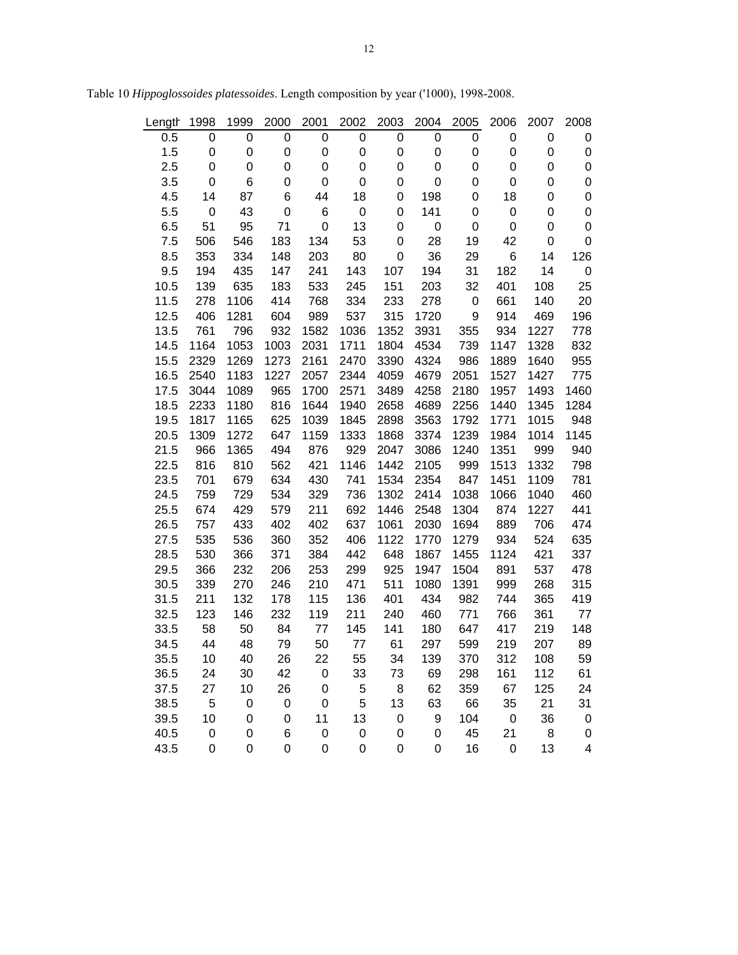| Length | 1998        | 1999 | 2000 | 2001 | 2002        | 2003        | 2004             | 2005             | 2006        | 2007 | 2008 |
|--------|-------------|------|------|------|-------------|-------------|------------------|------------------|-------------|------|------|
| 0.5    | 0           | 0    | 0    | 0    | 0           | 0           | 0                | 0                | 0           | 0    | 0    |
| 1.5    | 0           | 0    | 0    | 0    | 0           | 0           | 0                | 0                | 0           | 0    | 0    |
| 2.5    | 0           | 0    | 0    | 0    | 0           | 0           | 0                | 0                | 0           | 0    | 0    |
| 3.5    | 0           | 6    | 0    | 0    | 0           | 0           | 0                | 0                | 0           | 0    | 0    |
| 4.5    | 14          | 87   | 6    | 44   | 18          | 0           | 198              | 0                | 18          | 0    | 0    |
| 5.5    | 0           | 43   | 0    | 6    | 0           | 0           | 141              | 0                | 0           | 0    | 0    |
| 6.5    | 51          | 95   | 71   | 0    | 13          | 0           | 0                | 0                | 0           | 0    | 0    |
| 7.5    | 506         | 546  | 183  | 134  | 53          | 0           | 28               | 19               | 42          | 0    | 0    |
| 8.5    | 353         | 334  | 148  | 203  | 80          | 0           | 36               | 29               | 6           | 14   | 126  |
| 9.5    | 194         | 435  | 147  | 241  | 143         | 107         | 194              | 31               | 182         | 14   | 0    |
| 10.5   | 139         | 635  | 183  | 533  | 245         | 151         | 203              | 32               | 401         | 108  | 25   |
| 11.5   | 278         | 1106 | 414  | 768  | 334         | 233         | 278              | $\boldsymbol{0}$ | 661         | 140  | 20   |
| 12.5   | 406         | 1281 | 604  | 989  | 537         | 315         | 1720             | 9                | 914         | 469  | 196  |
| 13.5   | 761         | 796  | 932  | 1582 | 1036        | 1352        | 3931             | 355              | 934         | 1227 | 778  |
| 14.5   | 1164        | 1053 | 1003 | 2031 | 1711        | 1804        | 4534             | 739              | 1147        | 1328 | 832  |
| 15.5   | 2329        | 1269 | 1273 | 2161 | 2470        | 3390        | 4324             | 986              | 1889        | 1640 | 955  |
| 16.5   | 2540        | 1183 | 1227 | 2057 | 2344        | 4059        | 4679             | 2051             | 1527        | 1427 | 775  |
| 17.5   | 3044        | 1089 | 965  | 1700 | 2571        | 3489        | 4258             | 2180             | 1957        | 1493 | 1460 |
| 18.5   | 2233        | 1180 | 816  | 1644 | 1940        | 2658        | 4689             | 2256             | 1440        | 1345 | 1284 |
| 19.5   | 1817        | 1165 | 625  | 1039 | 1845        | 2898        | 3563             | 1792             | 1771        | 1015 | 948  |
| 20.5   | 1309        | 1272 | 647  | 1159 | 1333        | 1868        | 3374             | 1239             | 1984        | 1014 | 1145 |
| 21.5   | 966         | 1365 | 494  | 876  | 929         | 2047        | 3086             | 1240             | 1351        | 999  | 940  |
| 22.5   | 816         | 810  | 562  | 421  | 1146        | 1442        | 2105             | 999              | 1513        | 1332 | 798  |
| 23.5   | 701         | 679  | 634  | 430  | 741         | 1534        | 2354             | 847              | 1451        | 1109 | 781  |
| 24.5   | 759         | 729  | 534  | 329  | 736         | 1302        | 2414             | 1038             | 1066        | 1040 | 460  |
| 25.5   | 674         | 429  | 579  | 211  | 692         | 1446        | 2548             | 1304             | 874         | 1227 | 441  |
| 26.5   | 757         | 433  | 402  | 402  | 637         | 1061        | 2030             | 1694             | 889         | 706  | 474  |
| 27.5   | 535         | 536  | 360  | 352  | 406         | 1122        | 1770             | 1279             | 934         | 524  | 635  |
| 28.5   | 530         | 366  | 371  | 384  | 442         | 648         | 1867             | 1455             | 1124        | 421  | 337  |
| 29.5   | 366         | 232  | 206  | 253  | 299         | 925         | 1947             | 1504             | 891         | 537  | 478  |
| 30.5   | 339         | 270  | 246  | 210  | 471         | 511         | 1080             | 1391             | 999         | 268  | 315  |
| 31.5   | 211         | 132  | 178  | 115  | 136         | 401         | 434              | 982              | 744         | 365  | 419  |
| 32.5   | 123         | 146  | 232  | 119  | 211         | 240         | 460              | 771              | 766         | 361  | 77   |
| 33.5   | 58          | 50   | 84   | 77   | 145         | 141         | 180              | 647              | 417         | 219  | 148  |
| 34.5   | 44          | 48   | 79   | 50   | 77          | 61          | 297              | 599              | 219         | 207  | 89   |
| 35.5   | 10          | 40   | 26   | 22   | 55          | 34          | 139              | 370              | 312         | 108  | 59   |
| 36.5   | 24          | 30   | 42   | 0    | 33          | 73          | 69               | 298              | 161         | 112  | 61   |
| 37.5   | 27          | 10   | 26   | 0    | 5           | 8           | 62               | 359              | 67          | 125  | 24   |
| 38.5   | 5           | 0    | 0    | 0    | 5           | 13          | 63               | 66               | 35          | 21   | 31   |
| 39.5   | 10          | 0    | 0    | 11   | 13          | $\mbox{O}$  | 9                | 104              | $\mathbf 0$ | 36   | 0    |
| 40.5   | $\mathbf 0$ | 0    | 6    | 0    | 0           | $\mathbf 0$ | $\boldsymbol{0}$ | 45               | 21          | 8    | 0    |
| 43.5   | $\mathbf 0$ | 0    | 0    | 0    | $\mathbf 0$ | 0           | 0                | 16               | $\mathbf 0$ | 13   | 4    |

Table 10 *Hippoglossoides platessoides*. Length composition by year ('1000), 1998-2008.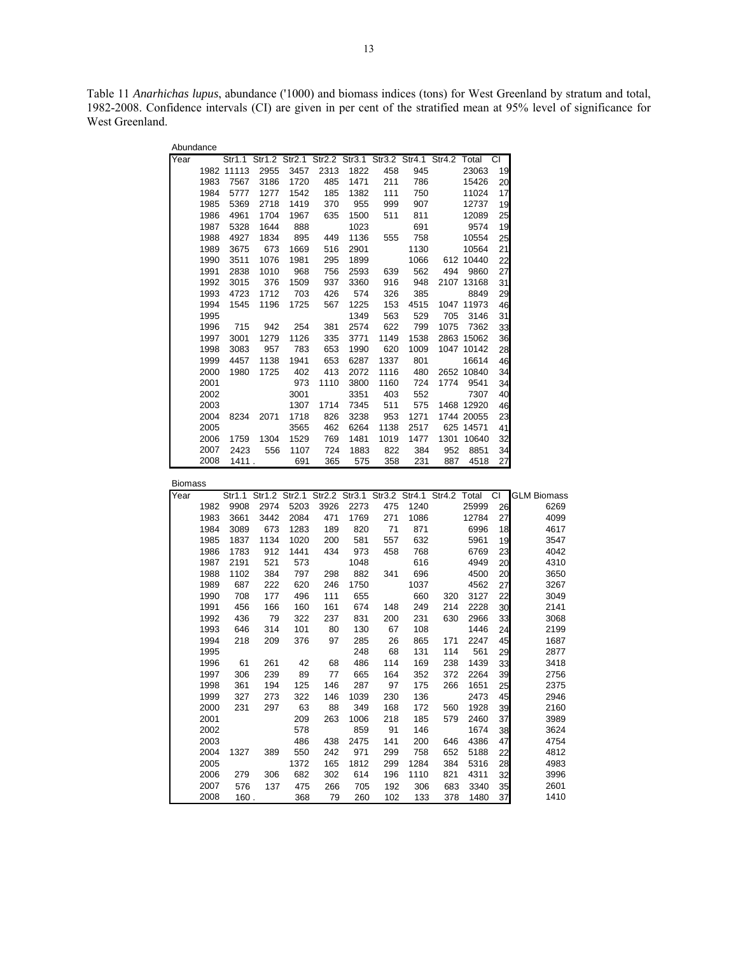Table 11 *Anarhichas lupus*, abundance ('1000) and biomass indices (tons) for West Greenland by stratum and total, 1982-2008. Confidence intervals (CI) are given in per cent of the stratified mean at 95% level of significance for West Greenland.

| Abundance |      |            |      |      |      |                                                               |      |      |      |            |           |
|-----------|------|------------|------|------|------|---------------------------------------------------------------|------|------|------|------------|-----------|
| Year      |      |            |      |      |      | Str1.1 Str1.2 Str2.1 Str2.2 Str3.1 Str3.2 Str4.1 Str4.2 Total |      |      |      |            | <b>CI</b> |
|           |      | 1982 11113 | 2955 | 3457 | 2313 | 1822                                                          | 458  | 945  |      | 23063      | 19        |
|           | 1983 | 7567       | 3186 | 1720 | 485  | 1471                                                          | 211  | 786  |      | 15426      | 20        |
|           | 1984 | 5777       | 1277 | 1542 | 185  | 1382                                                          | 111  | 750  |      | 11024      | 17        |
|           | 1985 | 5369       | 2718 | 1419 | 370  | 955                                                           | 999  | 907  |      | 12737      | 19        |
|           | 1986 | 4961       | 1704 | 1967 | 635  | 1500                                                          | 511  | 811  |      | 12089      | 25        |
|           | 1987 | 5328       | 1644 | 888  |      | 1023                                                          |      | 691  |      | 9574       | 19        |
|           | 1988 | 4927       | 1834 | 895  | 449  | 1136                                                          | 555  | 758  |      | 10554      | 25        |
|           | 1989 | 3675       | 673  | 1669 | 516  | 2901                                                          |      | 1130 |      | 10564      | 21        |
|           | 1990 | 3511       | 1076 | 1981 | 295  | 1899                                                          |      | 1066 |      | 612 10440  | 22        |
|           | 1991 | 2838       | 1010 | 968  | 756  | 2593                                                          | 639  | 562  | 494  | 9860       | 27        |
|           | 1992 | 3015       | 376  | 1509 | 937  | 3360                                                          | 916  | 948  |      | 2107 13168 | 31        |
|           | 1993 | 4723       | 1712 | 703  | 426  | 574                                                           | 326  | 385  |      | 8849       | 29        |
|           | 1994 | 1545       | 1196 | 1725 | 567  | 1225                                                          | 153  | 4515 |      | 1047 11973 | 46        |
|           | 1995 |            |      |      |      | 1349                                                          | 563  | 529  | 705  | 3146       | 31        |
|           | 1996 | 715        | 942  | 254  | 381  | 2574                                                          | 622  | 799  | 1075 | 7362       | 33        |
|           | 1997 | 3001       | 1279 | 1126 | 335  | 3771                                                          | 1149 | 1538 |      | 2863 15062 | 36        |
|           | 1998 | 3083       | 957  | 783  | 653  | 1990                                                          | 620  | 1009 |      | 1047 10142 | 28        |
|           | 1999 | 4457       | 1138 | 1941 | 653  | 6287                                                          | 1337 | 801  |      | 16614      | 46        |
|           | 2000 | 1980       | 1725 | 402  | 413  | 2072                                                          | 1116 | 480  |      | 2652 10840 | 34        |
|           | 2001 |            |      | 973  | 1110 | 3800                                                          | 1160 | 724  | 1774 | 9541       | 34        |
|           | 2002 |            |      | 3001 |      | 3351                                                          | 403  | 552  |      | 7307       | 40        |
|           | 2003 |            |      | 1307 | 1714 | 7345                                                          | 511  | 575  |      | 1468 12920 | 46        |
|           | 2004 | 8234       | 2071 | 1718 | 826  | 3238                                                          | 953  | 1271 |      | 1744 20055 | 23        |
|           | 2005 |            |      | 3565 | 462  | 6264                                                          | 1138 | 2517 |      | 625 14571  | 41        |
|           | 2006 | 1759       | 1304 | 1529 | 769  | 1481                                                          | 1019 | 1477 | 1301 | 10640      | 32        |
|           | 2007 | 2423       | 556  | 1107 | 724  | 1883                                                          | 822  | 384  | 952  | 8851       | 34        |
|           | 2008 | 1411.      |      | 691  | 365  | 575                                                           | 358  | 231  | 887  | 4518       | 27        |

| Biomass |
|---------|
|---------|

| Year |      |      | Str1.1 Str1.2 Str2.1 Str2.2 Str3.1 Str3.2 Str4.1 Str4.2 Total |      |      |      |     |      |     |       |    | CI <b>GLM</b> Biomass |
|------|------|------|---------------------------------------------------------------|------|------|------|-----|------|-----|-------|----|-----------------------|
|      | 1982 | 9908 | 2974                                                          | 5203 | 3926 | 2273 | 475 | 1240 |     | 25999 | 26 | 6269                  |
|      | 1983 | 3661 | 3442                                                          | 2084 | 471  | 1769 | 271 | 1086 |     | 12784 | 27 | 4099                  |
|      | 1984 | 3089 | 673                                                           | 1283 | 189  | 820  | 71  | 871  |     | 6996  | 18 | 4617                  |
|      | 1985 | 1837 | 1134                                                          | 1020 | 200  | 581  | 557 | 632  |     | 5961  | 19 | 3547                  |
|      | 1986 | 1783 | 912                                                           | 1441 | 434  | 973  | 458 | 768  |     | 6769  | 23 | 4042                  |
|      | 1987 | 2191 | 521                                                           | 573  |      | 1048 |     | 616  |     | 4949  | 20 | 4310                  |
|      | 1988 | 1102 | 384                                                           | 797  | 298  | 882  | 341 | 696  |     | 4500  | 20 | 3650                  |
|      | 1989 | 687  | 222                                                           | 620  | 246  | 1750 |     | 1037 |     | 4562  | 27 | 3267                  |
|      | 1990 | 708  | 177                                                           | 496  | 111  | 655  |     | 660  | 320 | 3127  | 22 | 3049                  |
|      | 1991 | 456  | 166                                                           | 160  | 161  | 674  | 148 | 249  | 214 | 2228  | 30 | 2141                  |
|      | 1992 | 436  | 79                                                            | 322  | 237  | 831  | 200 | 231  | 630 | 2966  | 33 | 3068                  |
|      | 1993 | 646  | 314                                                           | 101  | 80   | 130  | 67  | 108  |     | 1446  | 24 | 2199                  |
|      | 1994 | 218  | 209                                                           | 376  | 97   | 285  | 26  | 865  | 171 | 2247  | 45 | 1687                  |
|      | 1995 |      |                                                               |      |      | 248  | 68  | 131  | 114 | 561   | 29 | 2877                  |
|      | 1996 | 61   | 261                                                           | 42   | 68   | 486  | 114 | 169  | 238 | 1439  | 33 | 3418                  |
|      | 1997 | 306  | 239                                                           | 89   | 77   | 665  | 164 | 352  | 372 | 2264  | 39 | 2756                  |
|      | 1998 | 361  | 194                                                           | 125  | 146  | 287  | 97  | 175  | 266 | 1651  | 25 | 2375                  |
|      | 1999 | 327  | 273                                                           | 322  | 146  | 1039 | 230 | 136  |     | 2473  | 45 | 2946                  |
|      | 2000 | 231  | 297                                                           | 63   | 88   | 349  | 168 | 172  | 560 | 1928  | 39 | 2160                  |
|      | 2001 |      |                                                               | 209  | 263  | 1006 | 218 | 185  | 579 | 2460  | 37 | 3989                  |
|      | 2002 |      |                                                               | 578  |      | 859  | 91  | 146  |     | 1674  | 38 | 3624                  |
|      | 2003 |      |                                                               | 486  | 438  | 2475 | 141 | 200  | 646 | 4386  | 47 | 4754                  |
|      | 2004 | 1327 | 389                                                           | 550  | 242  | 971  | 299 | 758  | 652 | 5188  | 22 | 4812                  |
|      | 2005 |      |                                                               | 1372 | 165  | 1812 | 299 | 1284 | 384 | 5316  | 28 | 4983                  |
|      | 2006 | 279  | 306                                                           | 682  | 302  | 614  | 196 | 1110 | 821 | 4311  | 32 | 3996                  |
|      | 2007 | 576  | 137                                                           | 475  | 266  | 705  | 192 | 306  | 683 | 3340  | 35 | 2601                  |
|      | 2008 | 160. |                                                               | 368  | 79   | 260  | 102 | 133  | 378 | 1480  | 37 | 1410                  |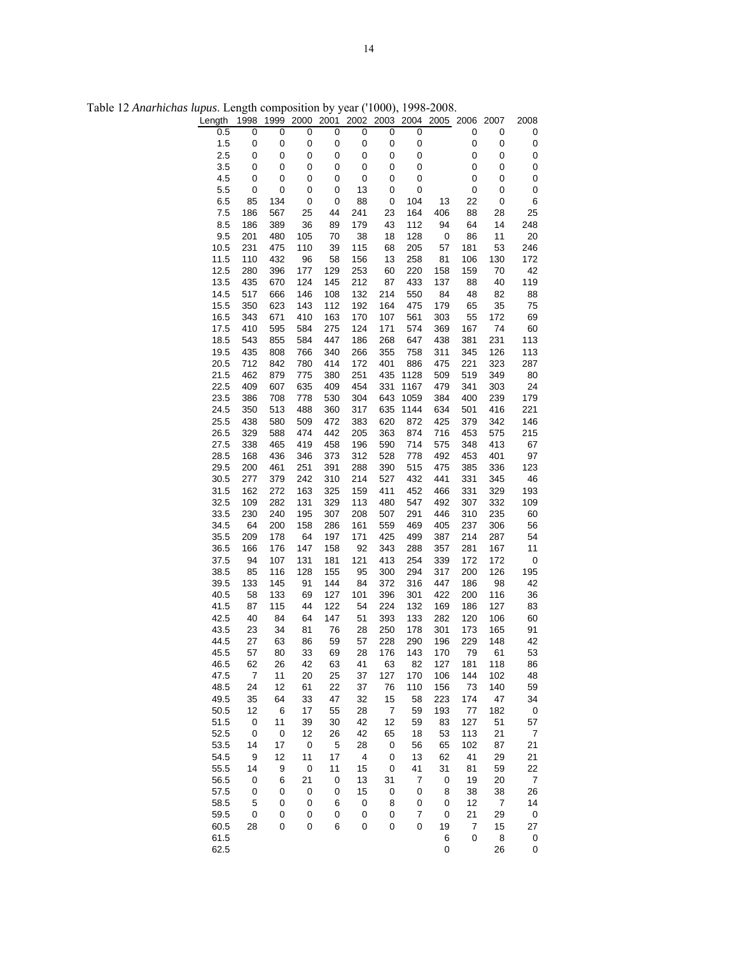| Length       | 1998           | 1999       | 2000       | 2001       | 2002        | 2003       | 2004       | 2005       | 2006       | 2007            | 2008             |
|--------------|----------------|------------|------------|------------|-------------|------------|------------|------------|------------|-----------------|------------------|
| 0.5          | 0              | 0          | 0          | 0          | 0           | 0          | 0          |            | 0          | 0               | 0                |
| 1.5          | 0              | $\pmb{0}$  | 0          | 0          | $\pmb{0}$   | $\pmb{0}$  | 0          |            | 0          | 0               | 0                |
| 2.5          | 0              | 0          | 0          | 0          | 0           | 0          | 0          |            | 0          | 0               | 0                |
| 3.5          | 0              | 0          | 0          | 0          | 0           | 0          | 0          |            | 0          | 0               | 0                |
| 4.5          | 0              | $\pmb{0}$  | 0          | 0          | $\mathbf 0$ | 0          | $\pmb{0}$  |            | 0          | 0               | $\pmb{0}$        |
| 5.5          | 0              | 0          | 0          | 0          | 13          | 0          | $\pmb{0}$  |            | 0          | 0               | $\pmb{0}$        |
| 6.5<br>7.5   | 85<br>186      | 134<br>567 | 0<br>25    | 0<br>44    | 88<br>241   | 0<br>23    | 104<br>164 | 13<br>406  | 22<br>88   | $\pmb{0}$<br>28 | 6<br>25          |
| 8.5          | 186            | 389        | 36         | 89         | 179         | 43         | 112        | 94         | 64         | 14              | 248              |
| 9.5          | 201            | 480        | 105        | 70         | 38          | 18         | 128        | $\pmb{0}$  | 86         | 11              | 20               |
| 10.5         | 231            | 475        | 110        | 39         | 115         | 68         | 205        | 57         | 181        | 53              | 246              |
| 11.5         | 110            | 432        | 96         | 58         | 156         | 13         | 258        | 81         | 106        | 130             | 172              |
| 12.5         | 280            | 396        | 177        | 129        | 253         | 60         | 220        | 158        | 159        | 70              | 42               |
| 13.5         | 435            | 670        | 124        | 145        | 212         | 87         | 433        | 137        | 88         | 40              | 119              |
| 14.5         | 517            | 666        | 146        | 108        | 132         | 214        | 550        | 84         | 48         | 82              | 88               |
| 15.5         | 350            | 623        | 143        | 112        | 192         | 164        | 475        | 179        | 65         | 35              | 75               |
| 16.5         | 343            | 671        | 410        | 163        | 170         | 107        | 561        | 303        | 55         | 172             | 69               |
| 17.5         | 410            | 595        | 584        | 275        | 124         | 171        | 574        | 369        | 167        | 74              | 60               |
| 18.5         | 543            | 855        | 584        | 447        | 186         | 268        | 647        | 438        | 381        | 231             | 113              |
| 19.5         | 435            | 808        | 766        | 340        | 266         | 355        | 758        | 311        | 345        | 126             | 113              |
| 20.5         | 712            | 842        | 780        | 414        | 172         | 401        | 886        | 475        | 221        | 323             | 287              |
| 21.5         | 462            | 879        | 775        | 380        | 251         | 435        | 1128       | 509        | 519        | 349             | 80               |
| 22.5         | 409            | 607        | 635        | 409        | 454         | 331        | 1167       | 479        | 341        | 303             | 24               |
| 23.5         | 386            | 708        | 778        | 530        | 304         | 643        | 1059       | 384        | 400        | 239             | 179              |
| 24.5         | 350            | 513        | 488        | 360        | 317         | 635        | 1144       | 634        | 501        | 416             | 221              |
| 25.5         | 438<br>329     | 580<br>588 | 509<br>474 | 472<br>442 | 383<br>205  | 620<br>363 | 872<br>874 | 425<br>716 | 379<br>453 | 342<br>575      | 146<br>215       |
| 26.5<br>27.5 | 338            | 465        | 419        | 458        | 196         | 590        | 714        | 575        | 348        | 413             | 67               |
| 28.5         | 168            | 436        | 346        | 373        | 312         | 528        | 778        | 492        | 453        | 401             | 97               |
| 29.5         | 200            | 461        | 251        | 391        | 288         | 390        | 515        | 475        | 385        | 336             | 123              |
| 30.5         | 277            | 379        | 242        | 310        | 214         | 527        | 432        | 441        | 331        | 345             | 46               |
| 31.5         | 162            | 272        | 163        | 325        | 159         | 411        | 452        | 466        | 331        | 329             | 193              |
| 32.5         | 109            | 282        | 131        | 329        | 113         | 480        | 547        | 492        | 307        | 332             | 109              |
| 33.5         | 230            | 240        | 195        | 307        | 208         | 507        | 291        | 446        | 310        | 235             | 60               |
| 34.5         | 64             | 200        | 158        | 286        | 161         | 559        | 469        | 405        | 237        | 306             | 56               |
| 35.5         | 209            | 178        | 64         | 197        | 171         | 425        | 499        | 387        | 214        | 287             | 54               |
| 36.5         | 166            | 176        | 147        | 158        | 92          | 343        | 288        | 357        | 281        | 167             | 11               |
| 37.5         | 94             | 107        | 131        | 181        | 121         | 413        | 254        | 339        | 172        | 172             | $\pmb{0}$        |
| 38.5         | 85             | 116        | 128        | 155        | 95          | 300        | 294        | 317        | 200        | 126             | 195              |
| 39.5         | 133            | 145        | 91         | 144        | 84          | 372        | 316        | 447        | 186        | 98              | 42               |
| 40.5         | 58             | 133        | 69         | 127        | 101         | 396        | 301        | 422        | 200        | 116             | 36               |
| 41.5<br>42.5 | 87<br>40       | 115<br>84  | 44<br>64   | 122<br>147 | 54<br>51    | 224<br>393 | 132<br>133 | 169<br>282 | 186<br>120 | 127<br>106      | 83<br>60         |
| 43.5         | 23             | 34         | 81         | 76         | 28          | 250        | 178        | 301        | 173        | 165             | 91               |
| 44.5         | 27             | 63         | 86         | 59         | 57          | 228        | 290        | 196        | 229        | 148             | 42               |
| 45.5         | 57             | 80         | 33         | 69         | 28          | 176        | 143        | 170        | 79         | 61              | 53               |
| 46.5         | 62             | 26         | 42         | 63         | 41          | 63         | 82         | 127        | 181        | 118             | 86               |
| 47.5         | $\overline{7}$ | 11         | 20         | 25         | 37          | 127        | 170        | 106        | 144        | 102             | 48               |
| 48.5         | 24             | 12         | 61         | 22         | 37          | 76         | 110        | 156        | 73         | 140             | 59               |
| 49.5         | 35             | 64         | 33         | 47         | 32          | 15         | 58         | 223        | 174        | 47              | 34               |
| 50.5         | 12             | 6          | 17         | 55         | 28          | 7          | 59         | 193        | 77         | 182             | $\pmb{0}$        |
| 51.5         | 0              | 11         | 39         | 30         | 42          | 12         | 59         | 83         | 127        | 51              | 57               |
| 52.5         | $\pmb{0}$      | $\pmb{0}$  | 12         | 26         | 42          | 65         | 18         | 53         | 113        | 21              | $\boldsymbol{7}$ |
| 53.5         | 14             | 17         | $\pmb{0}$  | 5          | 28          | 0          | 56         | 65         | 102        | 87              | 21               |
| 54.5         | 9              | 12         | 11         | 17         | 4           | 0          | 13         | 62         | 41         | 29              | 21               |
| 55.5         | 14             | 9          | $\pmb{0}$  | 11         | 15          | 0          | 41         | 31         | 81         | 59              | 22               |
| 56.5         | 0              | 6          | 21         | 0          | 13          | 31         | 7          | 0          | 19         | 20              | 7                |
| 57.5         | 0              | 0          | 0          | 0          | 15          | $\pmb{0}$  | $\pmb{0}$  | 8          | 38         | 38              | 26               |
| 58.5         | 5              | 0          | 0          | 6          | 0           | 8          | 0          | 0          | 12         | 7               | 14               |
| 59.5         | 0              | 0          | 0          | 0          | 0           | 0          | 7          | 0<br>19    | 21         | 29<br>15        | $\pmb{0}$<br>27  |
| 60.5<br>61.5 | 28             | 0          | 0          | 6          | 0           | 0          | 0          | 6          | 7<br>0     | 8               | 0                |
| 62.5         |                |            |            |            |             |            |            | 0          |            | 26              | 0                |
|              |                |            |            |            |             |            |            |            |            |                 |                  |

Table 12 *Anarhichas lupus*. Length composition by year ('1000), 1998-2008.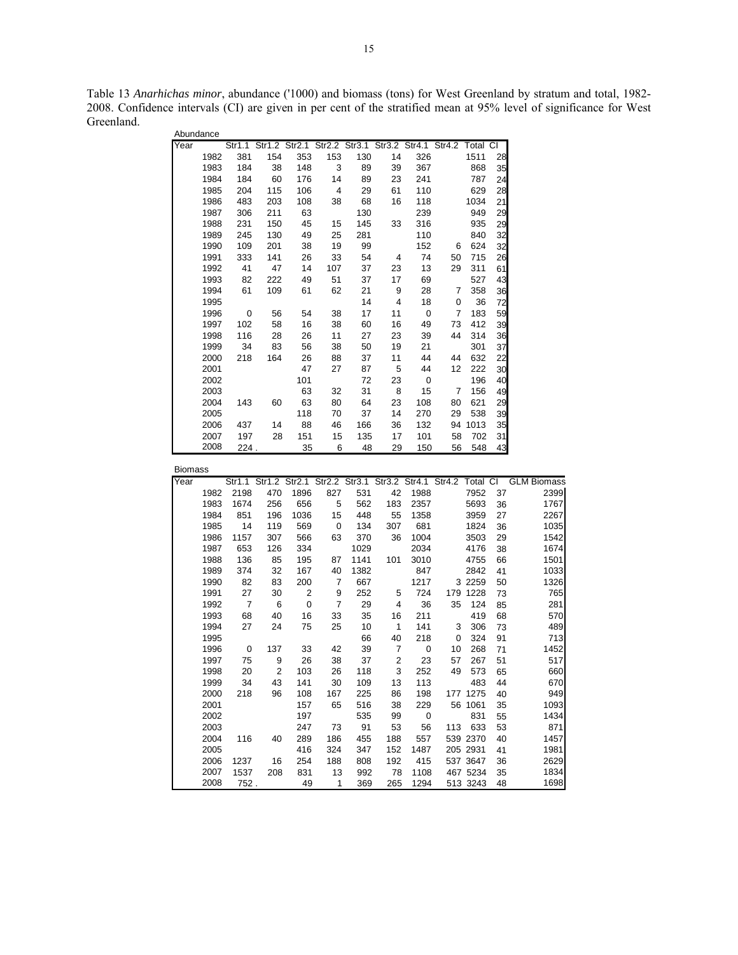Table 13 *Anarhichas minor*, abundance ('1000) and biomass (tons) for West Greenland by stratum and total, 1982- 2008. Confidence intervals (CI) are given in per cent of the stratified mean at 95% level of significance for West Greenland. Abundance

| Abundance      |              |                         |                                                                  |                |                         |            |                |             |     |                      |          |                                                                              |
|----------------|--------------|-------------------------|------------------------------------------------------------------|----------------|-------------------------|------------|----------------|-------------|-----|----------------------|----------|------------------------------------------------------------------------------|
| Year           |              |                         | Str1.1 Str1.2 Str2.1 Str2.2 Str3.1 Str3.2 Str4.1 Str4.2 Total CI |                |                         |            |                |             |     |                      |          |                                                                              |
|                | 1982         | 381                     | 154                                                              | 353            | 153                     | 130        | 14             | 326         |     | 1511                 | 28       |                                                                              |
|                | 1983         | 184                     | 38                                                               | 148            | 3                       | 89         | 39             | 367         |     | 868                  | 35       |                                                                              |
|                | 1984         | 184                     | 60                                                               | 176            | 14                      | 89         | 23             | 241         |     | 787                  | 24       |                                                                              |
|                | 1985         | 204                     | 115                                                              | 106            | 4                       | 29         | 61             | 110         |     | 629                  | 28       |                                                                              |
|                | 1986         | 483                     | 203                                                              | 108            | 38                      | 68         | 16             | 118         |     | 1034                 | 21       |                                                                              |
|                | 1987         | 306                     | 211                                                              | 63             |                         | 130        |                | 239         |     | 949                  | 29       |                                                                              |
|                | 1988         | 231                     | 150                                                              | 45             | 15                      | 145        | 33             | 316         |     | 935                  | 29       |                                                                              |
|                | 1989         | 245                     | 130                                                              | 49             | 25                      | 281        |                | 110         |     | 840                  | 32       |                                                                              |
|                | 1990         | 109                     | 201                                                              | 38             | 19                      | 99         |                | 152         | 6   | 624                  | 32       |                                                                              |
|                | 1991         | 333                     | 141                                                              | 26             | 33                      | 54         | $\overline{4}$ | 74          | 50  | 715                  | 26       |                                                                              |
|                | 1992         | 41                      | 47                                                               | 14             | 107                     | 37         | 23             | 13          | 29  | 311                  | 61       |                                                                              |
|                | 1993         | 82                      | 222                                                              | 49             | 51                      | 37         | 17             | 69          |     | 527                  | 43       |                                                                              |
|                | 1994         | 61                      | 109                                                              | 61             | 62                      | 21         | 9              | 28          | 7   | 358                  | 36       |                                                                              |
|                | 1995         |                         |                                                                  |                |                         | 14         | 4              | 18          | 0   | 36                   | 72       |                                                                              |
|                | 1996         | $\overline{\mathbf{0}}$ | 56                                                               | 54             | 38                      | 17         | 11             | 0           | 7   | 183                  | 59       |                                                                              |
|                | 1997         | 102                     | 58                                                               | 16             | 38                      | 60         | 16             | 49          | 73  | 412                  | 39       |                                                                              |
|                | 1998         | 116                     | 28                                                               | 26             | 11                      | 27         | 23             | 39          | 44  | 314                  | 36       |                                                                              |
|                | 1999         | 34                      | 83                                                               | 56             | 38                      | 50         | 19             | 21          |     | 301                  | 37       |                                                                              |
|                | 2000         | 218                     | 164                                                              | 26             | 88                      | 37         | 11             | 44          | 44  | 632                  | 22       |                                                                              |
|                | 2001         |                         |                                                                  | 47             | 27                      | 87         | 5              | 44          | 12  | 222                  | 30       |                                                                              |
|                | 2002         |                         |                                                                  | 101            |                         | 72         | 23             | 0           |     | 196                  | 40       |                                                                              |
|                | 2003         |                         |                                                                  | 63             | 32                      | 31         | 8              | 15          | 7   | 156                  | 49       |                                                                              |
|                | 2004         | 143                     | 60                                                               | 63             | 80                      | 64         | 23             | 108         | 80  | 621                  | 29       |                                                                              |
|                | 2005         |                         |                                                                  | 118            | 70                      | 37         | 14             | 270         | 29  | 538                  | 39       |                                                                              |
|                | 2006         | 437                     | 14                                                               | 88             | 46                      | 166        | 36             | 132         |     | 94 1013              | 35       |                                                                              |
|                | 2007         | 197                     | 28                                                               | 151            | 15                      | 135        | 17             | 101         | 58  | 702                  | 31       |                                                                              |
|                |              |                         |                                                                  | 35             | - 6                     | 48         | 29             | 150         | 56  | 548                  | 43       |                                                                              |
|                | 2008         | 224.                    |                                                                  |                |                         |            |                |             |     |                      |          |                                                                              |
|                |              |                         |                                                                  |                |                         |            |                |             |     |                      |          |                                                                              |
| <b>Biomass</b> |              |                         |                                                                  |                |                         |            |                |             |     |                      |          |                                                                              |
| Year           |              |                         |                                                                  |                |                         |            |                |             |     |                      |          | Str1.1 Str1.2 Str2.1 Str2.2 Str3.1 Str3.2 Str4.1 Str4.2 Total CI GLM Biomass |
|                | 1982         | 2198                    | 470                                                              | 1896           | 827                     | 531        | 42             | 1988        |     | 7952                 | 37       | 2399                                                                         |
|                | 1983         | 1674                    | 256                                                              | 656            | 5                       | 562        | 183            | 2357        |     | 5693                 | 36       | 1767                                                                         |
|                | 1984         | 851                     | 196                                                              | 1036           | 15                      | 448        | 55             | 1358        |     | 3959                 | 27       | 2267                                                                         |
|                | 1985         | 14                      | 119                                                              | 569            | $\overline{\mathbf{0}}$ | 134        | 307            | 681         |     | 1824                 | 36       | 1035                                                                         |
|                | 1986         | 1157                    | 307                                                              | 566            | 63                      | 370        | 36             | 1004        |     | 3503                 | 29       | 1542                                                                         |
|                | 1987         | 653                     | 126                                                              | 334            |                         | 1029       |                | 2034        |     | 4176                 | 38       | 1674                                                                         |
|                | 1988         | 136                     | 85                                                               | 195            | 87                      | 1141       | 101            | 3010        |     | 4755                 | 66       | 1501                                                                         |
|                | 1989         | 374                     | 32                                                               | 167            | 40                      | 1382       |                | 847         |     | 2842                 | 41       | 1033                                                                         |
|                | 1990         | 82                      | 83                                                               | 200            | 7                       | 667        |                | 1217        |     | 3 2 2 5 9            | 50       | 1326                                                                         |
|                | 1991         | 27                      | 30                                                               | $\overline{c}$ | 9                       | 252        | 5              | 724         |     | 179 1228             | 73       | 765                                                                          |
|                | 1992         | $\overline{7}$          | 6                                                                | 0              | $\overline{7}$          | 29         | 4              | 36          | 35  | 124                  | 85       | 281                                                                          |
|                | 1993         | 68                      | 40                                                               | 16             | 33                      | 35         | 16             | 211         |     | 419                  | 68       | 570                                                                          |
|                | 1994         | 27                      | 24                                                               | 75             | 25                      | 10         | $\mathbf 1$    | 141         | 3   | 306                  | 73       | 489                                                                          |
|                | 1995         |                         |                                                                  |                |                         | 66         | 40             | 218         | 0   | 324                  | 91       | 713                                                                          |
|                | 1996         | 0                       | 137                                                              | 33             | 42                      | 39         | 7              | 0           | 10  | 268                  | 71       | 1452                                                                         |
|                | 1997         | 75                      | 9                                                                | 26             | 38                      | 37         | $\overline{2}$ | 23          | 57  | 267                  | 51       | 517                                                                          |
|                | 1998         | 20                      | 2                                                                | 103            | 26                      | 118        | $\mathbf{3}$   | 252         |     | 49 573               | 65       | 660                                                                          |
|                | 1999         | 34                      | 43                                                               | 141            | 30                      | 109        | 13             | 113         |     | 483                  | 44       |                                                                              |
|                | 2000         | 218                     | 96                                                               | 108            | 167                     | 225        | 86             | 198         |     | 177 1275             | 40       | 670<br>949                                                                   |
|                |              |                         |                                                                  |                |                         |            |                |             |     |                      |          |                                                                              |
|                | 2001         |                         |                                                                  | 157            | 65                      | 516        | 38             | 229         |     | 56 1061              | 35       | 1093                                                                         |
|                | 2002         |                         |                                                                  | 197            |                         | 535        | 99             | 0           |     | 831                  | 55       | 1434                                                                         |
|                | 2003         |                         |                                                                  | 247            | 73                      | 91         | 53             | 56          | 113 | 633                  | 53       | 871                                                                          |
|                | 2004         | 116                     | 40                                                               | 289            | 186                     | 455        | 188            | 557         |     | 539 2370             | 40       | 1457                                                                         |
|                | 2005         |                         |                                                                  | 416            | 324                     | 347        | 152            | 1487        |     | 205 2931             | 41       | 1981                                                                         |
|                | 2006<br>2007 | 1237<br>1537            | 16<br>208                                                        | 254<br>831     | 188<br>13               | 808<br>992 | 192<br>78      | 415<br>1108 |     | 537 3647<br>467 5234 | 36<br>35 | 2629<br>1834                                                                 |

2007 1537 208 831 13 992 78 1108 467 5234 35 1834

513 3243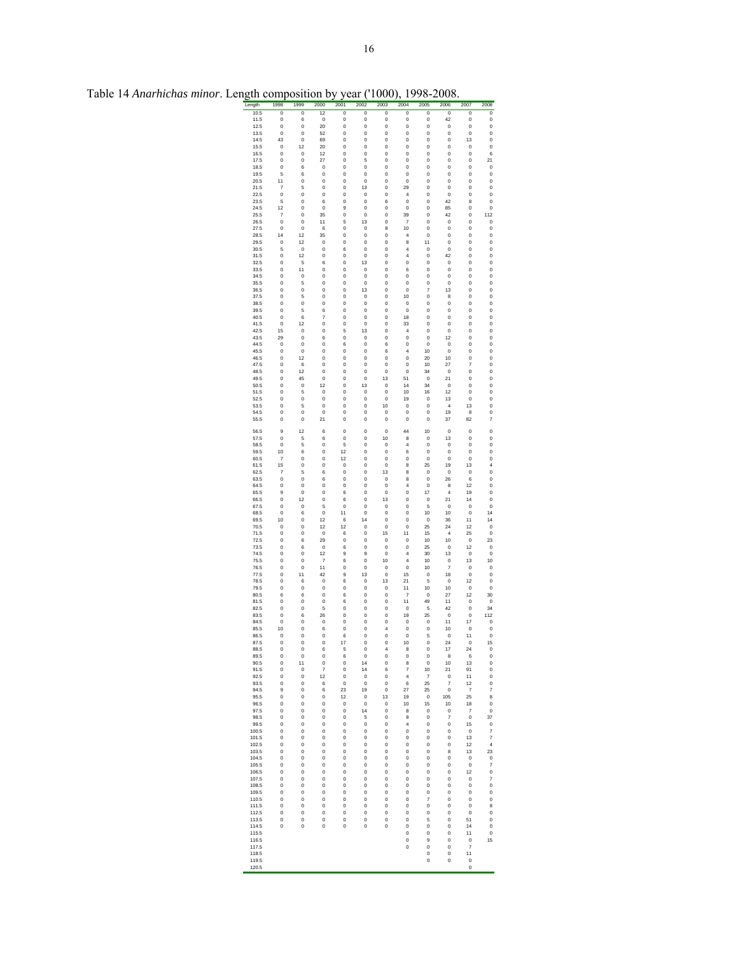| ength          | 1998                 | 1999                        | 2000                           | 2001                   | 2002                          | 2003                               | 2004                | 2005                    | 2006                          | 2007                      | 2008                                  |
|----------------|----------------------|-----------------------------|--------------------------------|------------------------|-------------------------------|------------------------------------|---------------------|-------------------------|-------------------------------|---------------------------|---------------------------------------|
| 10.5<br>11.5   | $\overline{0}$<br>0  | $\overline{0}$<br>6         | $\overline{12}$<br>$\mathbf 0$ | $\overline{0}$<br>0    | $\overline{0}$<br>0           | $\overline{0}$<br>0                | $\overline{0}$<br>0 | $\overline{0}$<br>0     | $\overline{0}$<br>42          | $\overline{0}$<br>0       | $\overline{0}$<br>0                   |
| 12.5           | 0                    | 0                           | 20                             | 0                      | 0                             | 0                                  | 0                   | 0                       | 0                             | 0                         | 0                                     |
| 13.5           | 0                    | 0                           | 52                             | 0                      | 0                             | 0                                  | 0                   | 0                       | 0                             | 0                         | 0                                     |
| 14.5           | 43                   | O                           | 69                             | 0                      | $\bf{0}$                      | $\mathbf 0$                        | 0                   | 0                       | 0                             | 13                        | $\mathbf 0$                           |
| 15.5<br>16.5   | O<br>0               | 12<br>O                     | 20<br>12                       | O<br>0                 | $\bf{0}$<br>0                 | O<br>0                             | 0<br>0              | $\bf{0}$<br>0           | O<br>0                        | O<br>0                    | O<br>6                                |
| 17.5           | 0                    | 0                           | 27                             | 0                      | 5                             | 0                                  | 0                   | 0                       | 0                             | 0                         | 21                                    |
| 18.5           | $\mathbf 0$          | 6                           | 0                              | 0                      | 0                             | 0                                  | 0                   | 0                       | 0                             | 0                         | 0                                     |
| 19.5<br>20.5   | 5<br>11              | 6<br>O                      | O<br>0                         | O<br>0                 | $\bf{0}$<br>0                 | O                                  | 0<br>0              | $\bf{0}$<br>0           | $\mathbf 0$<br>0              | O                         | $\bf{0}$                              |
| 21.5           | 7                    | 5                           | 0                              | 0                      | 13                            | 0<br>0                             | 29                  | 0                       | 0                             | 0<br>0                    | 0<br>0                                |
| 22.5           | o                    | $\mathbf 0$                 | O                              | 0                      | 0                             | $\mathbf 0$                        | 4                   | 0                       | $\mathbf 0$                   | 0                         | $\mathbf 0$                           |
| 23.5           | 5                    | o                           | 6                              | O                      | $\bf{0}$                      | 6                                  | 0                   | $\bf{0}$                | 42                            | 8                         | $\bf{0}$                              |
| 24.5<br>25.5   | 12<br>7              | O<br>O                      | $\mathbf 0$<br>35              | 9<br>0                 | $\bf{0}$<br>0                 | 0<br>0                             | 0<br>39             | 0<br>0                  | 85<br>42                      | 0<br>0                    | 0<br>112                              |
| 26.5           | 0                    | 0                           | 11                             | 5                      | 13                            | 0                                  | 7                   | 0                       | 0                             | 0                         | 0                                     |
| 27.5           | 0                    | 0                           | 6                              | 0                      | 0                             | 8                                  | 10                  | 0                       | 0                             | 0                         | 0                                     |
| 28.5<br>29.5   | 14<br>0              | 12<br>12                    | 35<br>0                        | O<br>0                 | $\bf{0}$<br>$\bf{0}$          | O<br>0                             | 4<br>8              | $\bf{0}$<br>11          | $\mathbf 0$<br>$\mathbf 0$    | O<br>0                    | $\bf{0}$<br>0                         |
| 30.5           | 5                    | 0                           | 0                              | 6                      | 0                             | 0                                  | 4                   | 0                       | 0                             | 0                         | 0                                     |
| 31.5           | $\mathbf 0$          | 12                          | O                              | $\mathbf 0$            | $\bf{0}$                      | $\mathbf 0$                        | 4                   | 0                       | 42                            | O                         | $\mathbf 0$                           |
| 32.5<br>33.5   | O<br>0               | 5<br>11                     | 6<br>0                         | O<br>0                 | 13<br>0                       | O<br>0                             | 0<br>6              | $\bf{0}$<br>0           | $\mathbf 0$<br>0              | O<br>0                    | O<br>0                                |
| 34.5           | 0                    | 0                           | 0                              | 0                      | 0                             | 0                                  | 0                   | 0                       | 0                             | 0                         | 0                                     |
| 35.5           | $\mathbf 0$          | 5                           | 0                              | 0                      | 0                             | 0                                  | 0                   | 0                       | 0                             | 0                         | 0                                     |
| 36.5           | O                    | $\mathbf{0}$                | O                              | O                      | 13                            | O                                  | 0                   | $\overline{\mathbf{r}}$ | 13                            | O                         | $\bf{0}$                              |
| 37.5<br>38.5   | 0<br>0               | 5<br>0                      | 0<br>0                         | 0<br>0                 | 0<br>0                        | 0<br>0                             | 10<br>0             | 0<br>0                  | 8<br>0                        | 0<br>0                    | 0<br>0                                |
| 39.5           | $\mathbf 0$          | 5                           | 6                              | 0                      | 0                             | $\mathbf 0$                        | 0                   | 0                       | $\mathbf 0$                   | 0                         | $\mathbf 0$                           |
| 40.5           | O                    | 6                           | 7                              | O                      | $\bf{0}$                      | O                                  | 18                  | $\bf{0}$                | $\mathbf 0$                   | O                         | $\bf{0}$                              |
| 41.5<br>42.5   | 0<br>15              | 12<br>O                     | 0<br>0                         | 0<br>5                 | 0<br>13                       | 0<br>0                             | 33<br>4             | 0<br>0                  | $\mathbf{0}$<br>$\mathbf{0}$  | 0<br>0                    | 0<br>0                                |
| 43.5           | 29                   | 0                           | 6                              | 0                      | 0                             | 0                                  | 0                   | 0                       | 12                            | 0                         | 0                                     |
| 44.5           | 0                    | 0                           | 0                              | 6                      | 0                             | 6                                  | 0                   | 0                       | 0                             | 0                         | 0                                     |
| 45.5<br>46.5   | O<br>0               | $\mathbf{0}$<br>12          | $\mathbf 0$<br>0               | O<br>0                 | $\bf{0}$<br>$\bf{0}$          | 6<br>0                             | 4<br>0              | 10<br>20                | $\mathbf 0$<br>10             | O<br>0                    | $\bf{0}$<br>0                         |
| 47.5           | 0                    | 6                           | 0                              | 0                      | 0                             | 0                                  | 0                   | 10                      | 27                            | 7                         | 0                                     |
| 48.5           | $\mathbf 0$          | 12                          | $\mathbf{0}$                   | O                      | 0                             | $\mathbf 0$                        | $\mathbf 0$         | 34                      | 0                             | $\mathbf 0$               | $\mathbf 0$                           |
| 49.5<br>50.5   | O<br>0               | 45<br>O                     | $\mathbf 0$<br>12              | O<br>0                 | $\bf{0}$<br>13                | 13<br>0                            | 51<br>14            | $\bf{0}$<br>34          | 21<br>$\mathbf 0$             | O<br>0                    | O<br>0                                |
| 51.5           | 0                    | 5                           | 0                              | 0                      | 0                             | 0                                  | 10                  | 16                      | 12                            | 0                         | 0                                     |
| 52.5           | $\mathbf 0$          | $\mathbf 0$                 | $\mathbf 0$                    | 0                      | 0                             | 0                                  | 19                  | 0                       | 13                            | 0                         | 0                                     |
| 53.5           | O                    | 5                           | $\mathbf 0$                    | O                      | $\bf{0}$                      | 10                                 | $\mathbf 0$         | $\bf{0}$                | $\overline{4}$                | 13                        | $\bf{0}$                              |
| 54.5<br>55.5   | 0<br>0               | O<br>O                      | 0<br>$^{21}$                   | 0<br>0                 | 0<br>$\bf{0}$                 | 0<br>0                             | 0<br>0              | 0<br>0                  | 19<br>37                      | 8<br>82                   | 0<br>7                                |
|                |                      |                             |                                |                        |                               |                                    |                     |                         |                               |                           |                                       |
| 56.5<br>57.5   | 9<br>O               | 12<br>5                     | 6<br>6                         | O<br>$\circ$           | 0<br>$\bf{0}$                 | $\mathbf 0$<br>10                  | 44<br>8             | 10<br>$\bf{0}$          | $\circ$<br>13                 | $\circ$<br>O              | $\bf{0}$<br>$\bf{0}$                  |
| 58.5           | 0                    | 5                           | 0                              | 5                      | $\bf{0}$                      | 0                                  | 4                   | 0                       | $\mathbf 0$                   | 0                         | 0                                     |
| 59.5           | 10                   | 6                           | 0                              | 12                     | 0                             | 0                                  | 6                   | 0                       | 0                             | 0                         | 0                                     |
| 60.5<br>61.5   | 7<br>15              | O<br>o                      | O<br>O                         | 12<br>O                | $\bf{0}$<br>$\bf{0}$          | $\mathbf 0$<br>$\mathbf 0$         | 0<br>8              | $\bf{0}$<br>25          | $\mathbf 0$<br>19             | O<br>13                   | 0<br>4                                |
| 62.5           | 7                    | 5                           | 6                              | 0                      | 0                             | 13                                 | 8                   | 0                       | $\mathbf 0$                   | 0                         | 0                                     |
| 63.5           | 0                    | 0                           | 6                              | 0                      | 0                             | 0                                  | 8                   | 0                       | 26                            | 6                         | 0                                     |
| 64.5<br>65.5   | $\mathbf 0$<br>9     | $\mathbf 0$<br>$\mathbf{0}$ | 0<br>O                         | 0<br>6                 | 0<br>$\bf{0}$                 | 0<br>$\mathbf 0$                   | 4<br>0              | 0<br>17                 | 8<br>$\overline{4}$           | 12<br>19                  | 0<br>$\bf{0}$                         |
| 66.5           | 0                    | 12                          | 0                              | 6                      | 0                             | 13                                 | 0                   | 0                       | 21                            | 14                        | 0                                     |
| 67.5           | 0                    | O                           | 5                              | 0                      | $\bf{0}$                      | 0                                  | 0                   | 5                       | $\mathbf{0}$                  | 0                         | 0                                     |
| 68.5           | 0                    | 6                           | 0<br>12                        | 11                     | 0                             | 0                                  | 0                   | 10                      | 10                            | 0                         | 14                                    |
| 69.5<br>70.5   | 10<br>O              | $\overline{0}$<br>o         | 12                             | 6<br>12                | 14<br>$\mathbf{0}$            | $\mathbf 0$<br>$\mathbf 0$         | 0<br>0              | 0<br>25                 | 36<br>24                      | 11<br>12                  | 14<br>$\bf{0}$                        |
| 71.5           | 0                    | O                           | 0                              | 6                      | $\bf{0}$                      | 15                                 | 11                  | 15                      | 4                             | 25                        | 0                                     |
| 72.5           | 0                    | 6                           | 29                             | 0                      | 0                             | 0                                  | 0                   | 10                      | 10                            | 0                         | 23                                    |
| 73.5<br>74.5   | 0<br>O               | 6<br>$\mathbf{0}$           | $\mathbf 0$<br>12              | 6<br>9                 | 0<br>9                        | 0<br>$\mathbf 0$                   | 0<br>4              | 25<br>30                | 0<br>13                       | 12<br>O                   | 0<br>$\bf{0}$                         |
| 75.5           | 0                    | O                           | $\overline{7}$                 | 6                      | 0                             | 10                                 | 4                   | 10                      | $\mathbf 0$                   | 13                        | 10                                    |
| 76.5           | 0                    | 0                           | 11                             | 0                      | 0                             | 0                                  | 0                   | 10                      | 7                             | 0                         | 0                                     |
| 77.5<br>78.5   | $\mathbf 0$<br>O     | 11<br>6                     | 42<br>O                        | 9<br>6                 | 13<br>$\bf{0}$                | $\mathbf 0$<br>13                  | 15<br>21            | 0<br>5                  | 18<br>$\mathbf 0$             | O<br>12                   | $\mathbf 0$<br>$\bf{0}$               |
| 79.5           | 0                    | O                           | 0                              | 0                      | 0                             | 0                                  | 11                  | 10                      | 10                            | 0                         | 0                                     |
| 80.5           | 6                    | 6                           | 0                              | 6                      | 0                             | 0                                  | 7                   | 0                       | 27                            | 12                        | 30                                    |
| 81.5<br>82.5   | 0<br>0               | 0<br>$\overline{0}$         | 0<br>5                         | 6<br>0                 | 0<br>0                        | 0<br>0                             | 11<br>0             | 49<br>5                 | 11<br>42                      | 0<br>0                    | 0<br>34                               |
| 83.5           | O                    | 6                           | 26                             | O                      | $\mathbf 0$                   | $\mathbf 0$                        | 19                  | 25                      | $\mathbf 0$                   | O                         | 112                                   |
| 84.5           | 0                    | O                           | 0                              | 0                      | 0                             | 0                                  | 0                   | 0                       | 11                            | 17                        | 0                                     |
| 85.5<br>86.5   | 10<br>$\circ$        | 0<br>$\overline{0}$         | 6<br>O                         | 0<br>6                 | 0<br>$\mathbf 0$              | 4<br>$\mathbf 0$                   | 0<br>$\mathbf 0$    | 0<br>5                  | 10<br>$\mathbf 0$             | 0<br>11                   | 0<br>0                                |
| 87.5           | 0                    | 0                           | 0                              | 17                     | 0                             | 0                                  | 10                  | 0                       | 24                            | 0                         | 15                                    |
| 88.5           | 0                    | $\mathbf 0$                 | 6                              | 5                      | $\pmb{0}$                     | 4                                  | 8                   | $\mathbf 0$             | 17                            | 24                        | 0                                     |
| 89.5<br>90.5   | 0<br>$\,0\,$         | $\pmb{0}$<br>11             | 0<br>$\,0\,$                   | 6<br>$\,0\,$           | $\mathbf 0$<br>14             | 0<br>$\,$ 0                        | 0<br>8              | $\pmb{0}$<br>$\circ$    | 8<br>10                       | 6<br>13                   | 0<br>$\pmb{0}$                        |
| 91.5           | $\mathbf 0$          | $\mathbf 0$                 | $\overline{\mathbf{7}}$        | $\mathsf 0$            | 14                            | 6                                  | $\overline{7}$      | $10$                    | 21                            | 91                        | $\pmb{0}$                             |
| 92.5           | $\,0\,$              | $\mathbf 0$                 | 12                             | $\,0\,$                | $\,0\,$                       | $\overline{\mathbf{0}}$            | $\overline{4}$      | $\overline{7}$          | $\overline{\phantom{0}}$      | 11                        | 0                                     |
| 93.5<br>94.5   | $\,0\,$<br>9         | $\mathbf 0$<br>$\mathbf 0$  | 6<br>6                         | $\,0\,$<br>23          | $\overline{\mathbf{0}}$<br>19 | $\overline{\mathbf{0}}$<br>$\,0\,$ | 6<br>27             | 25<br>25                | $\overline{7}$<br>$\,$ 0      | 12<br>$\overline{7}$      | 0<br>$\overline{7}$                   |
| 95.5           | $\mathbf 0$          | $\mathbf 0$                 | $\mathsf 0$                    | 12                     | $\circ$                       | 13                                 | 19                  | $\overline{\mathbf{0}}$ | 105                           | 25                        | 8                                     |
| 96.5           | $\,0\,$              | $\pmb{0}$                   | $\mathsf 0$                    | $\,$ 0                 | $\mathbf 0$                   | $\,0\,$                            | $10$                | 15                      | 10                            | 18                        | 0                                     |
| 97.5<br>98.5   | $\pmb{0}$<br>$\,0\,$ | $\pmb{0}$<br>$\pmb{0}$      | $\mathbf 0$<br>$\,0\,$         | $\mathsf 0$<br>$\,0\,$ | 14<br>$\sqrt{5}$              | $\,$ 0<br>$\,0\,$                  | 8<br>8              | $\mathbf 0$<br>$\,0\,$  | $\mathbf 0$<br>$\overline{7}$ | $\overline{7}$<br>$\,0\,$ | $\pmb{0}$<br>37                       |
| 99.5           | $\,0\,$              | $\,0\,$                     | $\mathsf 0$                    | $\,$ 0 $\,$            | $\mathbf 0$                   | $\,0\,$                            | $\overline{4}$      | $\,0\,$                 | $\mathbf 0$                   | 15                        | $\pmb{0}$                             |
| 100.5          | $\mathbf 0$          | $\mathbf 0$                 | $\mathsf 0$                    | $\mathbf 0$            | $\circ$                       | $\overline{0}$                     | $\mathsf 0$         | $\mathbf 0$             | $\mathbf 0$                   | $\overline{\mathbf{0}}$   | $\overline{\mathcal{I}}$              |
| 101.5          | $\,0\,$              | $\,0\,$                     | $\mathsf 0$                    | $\mathbf 0$            | $\,0\,$                       | $\,0\,$                            | $\,0\,$             | $\mathbf 0$             | $\,0\,$                       | 13                        | $\overline{\mathcal{I}}$<br>4         |
| 102.5<br>103.5 | $\,0\,$<br>$\,0\,$   | $\mathbf 0$<br>$\mathbf 0$  | $\mathsf 0$<br>$\mathsf 0$     | 0<br>0                 | $\,0\,$<br>$\,0\,$            | $\,0\,$<br>$\,0\,$                 | $\,0\,$<br>$\,0\,$  | $\,0\,$<br>$\,0\,$      | $\,0\,$<br>$^{\rm 8}$         | 12<br>13                  | 23                                    |
| 104.5          | $\mathbf 0$          | $\mathbf 0$                 | $\mathbf 0$                    | $\mathsf 0$            | $\mathbf 0$                   | $\mathbf 0$                        | $\,$ 0 $\,$         | $\mathbf 0$             | $\pmb{0}$                     | $\mathbf 0$               | $\pmb{0}$                             |
| 105.5          | $\bf{0}$             | $\pmb{0}$                   | $\mathbf 0$                    | $\bf 0$                | $\pmb{0}$                     | $\mathbf 0$                        | $\bf 0$             | $\pmb{0}$               | $\bf 0$                       | $\pmb{0}$                 | 7                                     |
| 106.5<br>107.5 | $\pmb{0}$<br>$\,0\,$ | $\pmb{0}$<br>$\bf{0}$       | $\,0\,$<br>$\,0\,$             | 0<br>0                 | $\,0\,$<br>$\pmb{0}$          | $\,0\,$<br>$\mathbf 0$             | $\,0\,$<br>$\,0\,$  | $\,0\,$<br>$\pmb{0}$    | $\pmb{0}$<br>$\,0\,$          | 12<br>$\,0\,$             | $\pmb{0}$<br>$\overline{\mathcal{I}}$ |
| 108.5          | $\mathbf 0$          | $\circ$                     | $\mathbf 0$                    | $\mathbf 0$            | $^{\circ}$                    | $^{\circ}$                         | $\circ$             | $\mathbf 0$             | $\mathbf 0$                   | $\mathbf 0$               | $\pmb{0}$                             |
| 109.5          | $\,0\,$              | $\bf{0}$                    | $\,0\,$                        | $\,0\,$                | $\mathbf 0$                   | $\mathbf 0$                        | $\,0\,$             | $\mathbf 0$             | $\,0\,$                       | $\overline{\mathbf{0}}$   | $\pmb{0}$                             |
| 110.5          | $\,0\,$              | $\pmb{0}$                   | $\mathbf 0$                    | 0                      | $\,$ 0                        | $\,0\,$                            | $\mathsf 0$         | $\scriptstyle{7}$       | $\mathbf 0$                   | $\,$ 0                    | $\pmb{0}$                             |
| 111.5<br>112.5 | $\,0\,$<br>$\,0\,$   | $\mathbf 0$<br>$\mathbf 0$  | $\,0\,$<br>$\pmb{0}$           | 0<br>0                 | $\,0\,$<br>$\mathbf 0$        | $\,0\,$<br>$\circ$                 | $\,0\,$<br>$\,0\,$  | $\,0\,$<br>$\,0\,$      | $\,0\,$<br>$\,0\,$            | $\,0\,$<br>$\,0\,$        | 8<br>$\pmb{0}$                        |
| 113.5          | $\bf{0}$             | $\mathbf 0$                 | $\mathbf 0$                    | $\mathsf 0$            | 0                             | $\bf{0}$                           | $\mathsf 0$         | 5                       | $\mathbf 0$                   | 51                        | $\pmb{0}$                             |
| 114.5          | 0                    | $\mathbf 0$                 | $\bf{0}$                       | $\bf{0}$               | $\mathbf 0$                   | $\mathbf 0$                        | 0                   | $\pmb{0}$               | $\pmb{0}$                     | 14                        | 0                                     |
| 115.5<br>116.5 |                      |                             |                                |                        |                               |                                    | 0<br>0              | $\pmb{0}$<br>9          | $\pmb{0}$<br>$\pmb{0}$        | 11<br>$\,0\,$             | 0<br>15                               |
| 117.5          |                      |                             |                                |                        |                               |                                    | 0                   | $\mathbf 0$             | $\mathbf 0$                   | $\overline{\mathcal{I}}$  |                                       |
| 118.5          |                      |                             |                                |                        |                               |                                    |                     | 0                       | 0                             | 11<br>0                   |                                       |
| 119.5<br>120.5 |                      |                             |                                |                        |                               |                                    |                     | 0                       | 0                             | $\mathbf 0$               |                                       |

Table 14 *Anarhichas minor*. Length composition by year ('1000), 1998-2008.<br>
<u>Length 1998 1999</u> 2000 2001 2002 2003 2004 2005 2007 2008 2007 2009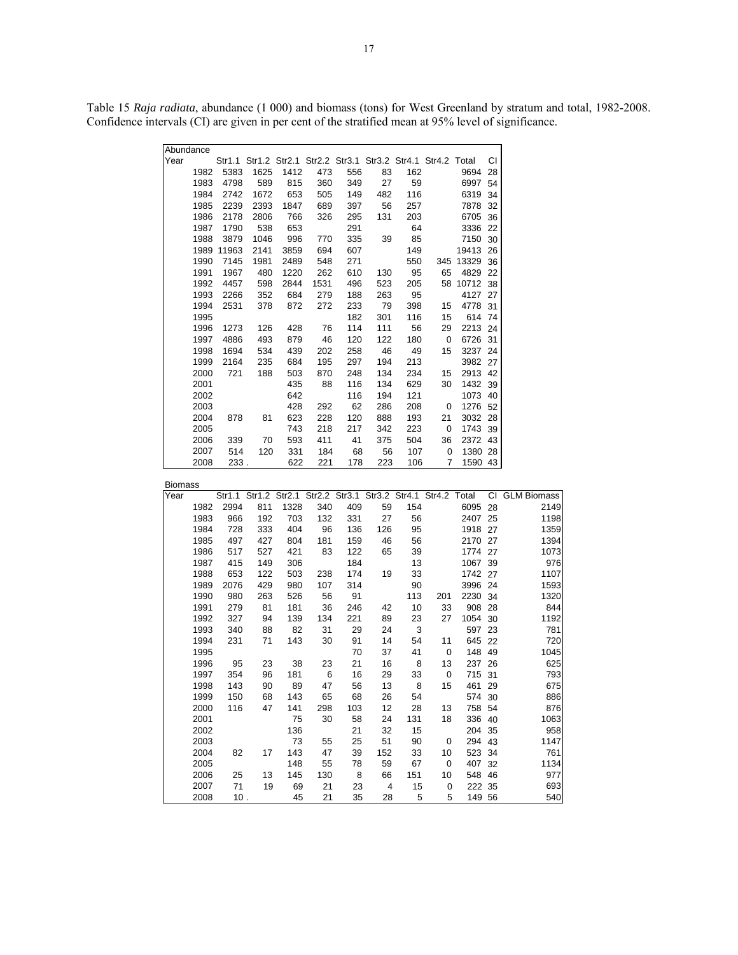Table 15 *Raja radiata*, abundance (1 000) and biomass (tons) for West Greenland by stratum and total, 1982-2008. Confidence intervals (CI) are given in per cent of the stratified mean at 95% level of significance.

| Abundance |      |        |      |      |      |     |                                                        |     |             |       |    |
|-----------|------|--------|------|------|------|-----|--------------------------------------------------------|-----|-------------|-------|----|
| Year      |      | Str1.1 |      |      |      |     | Str1.2 Str2.1 Str2.2 Str3.1 Str3.2 Str4.1 Str4.2 Total |     |             |       | CI |
|           | 1982 | 5383   | 1625 | 1412 | 473  | 556 | 83                                                     | 162 |             | 9694  | 28 |
|           | 1983 | 4798   | 589  | 815  | 360  | 349 | 27                                                     | 59  |             | 6997  | 54 |
|           | 1984 | 2742   | 1672 | 653  | 505  | 149 | 482                                                    | 116 |             | 6319  | 34 |
|           | 1985 | 2239   | 2393 | 1847 | 689  | 397 | 56                                                     | 257 |             | 7878  | 32 |
|           | 1986 | 2178   | 2806 | 766  | 326  | 295 | 131                                                    | 203 |             | 6705  | 36 |
|           | 1987 | 1790   | 538  | 653  |      | 291 |                                                        | 64  |             | 3336  | 22 |
|           | 1988 | 3879   | 1046 | 996  | 770  | 335 | 39                                                     | 85  |             | 7150  | 30 |
|           | 1989 | 11963  | 2141 | 3859 | 694  | 607 |                                                        | 149 |             | 19413 | 26 |
|           | 1990 | 7145   | 1981 | 2489 | 548  | 271 |                                                        | 550 | 345         | 13329 | 36 |
|           | 1991 | 1967   | 480  | 1220 | 262  | 610 | 130                                                    | 95  | 65          | 4829  | 22 |
|           | 1992 | 4457   | 598  | 2844 | 1531 | 496 | 523                                                    | 205 | 58          | 10712 | 38 |
|           | 1993 | 2266   | 352  | 684  | 279  | 188 | 263                                                    | 95  |             | 4127  | 27 |
|           | 1994 | 2531   | 378  | 872  | 272  | 233 | 79                                                     | 398 | 15          | 4778  | 31 |
|           | 1995 |        |      |      |      | 182 | 301                                                    | 116 | 15          | 614   | 74 |
|           | 1996 | 1273   | 126  | 428  | 76   | 114 | 111                                                    | 56  | 29          | 2213  | 24 |
|           | 1997 | 4886   | 493  | 879  | 46   | 120 | 122                                                    | 180 | $\mathbf 0$ | 6726  | 31 |
|           | 1998 | 1694   | 534  | 439  | 202  | 258 | 46                                                     | 49  | 15          | 3237  | 24 |
|           | 1999 | 2164   | 235  | 684  | 195  | 297 | 194                                                    | 213 |             | 3982  | 27 |
|           | 2000 | 721    | 188  | 503  | 870  | 248 | 134                                                    | 234 | 15          | 2913  | 42 |
|           | 2001 |        |      | 435  | 88   | 116 | 134                                                    | 629 | 30          | 1432  | 39 |
|           | 2002 |        |      | 642  |      | 116 | 194                                                    | 121 |             | 1073  | 40 |
|           | 2003 |        |      | 428  | 292  | 62  | 286                                                    | 208 | 0           | 1276  | 52 |
|           | 2004 | 878    | 81   | 623  | 228  | 120 | 888                                                    | 193 | 21          | 3032  | 28 |
|           | 2005 |        |      | 743  | 218  | 217 | 342                                                    | 223 | $\mathbf 0$ | 1743  | 39 |
|           | 2006 | 339    | 70   | 593  | 411  | 41  | 375                                                    | 504 | 36          | 2372  | 43 |
|           | 2007 | 514    | 120  | 331  | 184  | 68  | 56                                                     | 107 | 0           | 1380  | 28 |
|           | 2008 | 233.   |      | 622  | 221  | 178 | 223                                                    | 106 | 7           | 1590  | 43 |

| <b>Biomass</b> |      |      |                                                               |      |     |     |     |     |             |        |    |                |
|----------------|------|------|---------------------------------------------------------------|------|-----|-----|-----|-----|-------------|--------|----|----------------|
| Year           |      |      | Str1.1 Str1.2 Str2.1 Str2.2 Str3.1 Str3.2 Str4.1 Str4.2 Total |      |     |     |     |     |             |        |    | CI GLM Biomass |
|                | 1982 | 2994 | 811                                                           | 1328 | 340 | 409 | 59  | 154 |             | 6095   | 28 | 2149           |
|                | 1983 | 966  | 192                                                           | 703  | 132 | 331 | 27  | 56  |             | 2407   | 25 | 1198           |
|                | 1984 | 728  | 333                                                           | 404  | 96  | 136 | 126 | 95  |             | 1918   | 27 | 1359           |
|                | 1985 | 497  | 427                                                           | 804  | 181 | 159 | 46  | 56  |             | 2170   | 27 | 1394           |
|                | 1986 | 517  | 527                                                           | 421  | 83  | 122 | 65  | 39  |             | 1774   | 27 | 1073           |
|                | 1987 | 415  | 149                                                           | 306  |     | 184 |     | 13  |             | 1067   | 39 | 976            |
|                | 1988 | 653  | 122                                                           | 503  | 238 | 174 | 19  | 33  |             | 1742   | 27 | 1107           |
|                | 1989 | 2076 | 429                                                           | 980  | 107 | 314 |     | 90  |             | 3996   | 24 | 1593           |
|                | 1990 | 980  | 263                                                           | 526  | 56  | 91  |     | 113 | 201         | 2230   | 34 | 1320           |
|                | 1991 | 279  | 81                                                            | 181  | 36  | 246 | 42  | 10  | 33          | 908    | 28 | 844            |
|                | 1992 | 327  | 94                                                            | 139  | 134 | 221 | 89  | 23  | 27          | 1054   | 30 | 1192           |
|                | 1993 | 340  | 88                                                            | 82   | 31  | 29  | 24  | 3   |             | 597    | 23 | 781            |
|                | 1994 | 231  | 71                                                            | 143  | 30  | 91  | 14  | 54  | 11          | 645    | 22 | 720            |
|                | 1995 |      |                                                               |      |     | 70  | 37  | 41  | 0           | 148    | 49 | 1045           |
|                | 1996 | 95   | 23                                                            | 38   | 23  | 21  | 16  | 8   | 13          | 237    | 26 | 625            |
|                | 1997 | 354  | 96                                                            | 181  | 6   | 16  | 29  | 33  | $\mathbf 0$ | 715    | 31 | 793            |
|                | 1998 | 143  | 90                                                            | 89   | 47  | 56  | 13  | 8   | 15          | 461    | 29 | 675            |
|                | 1999 | 150  | 68                                                            | 143  | 65  | 68  | 26  | 54  |             | 574    | 30 | 886            |
|                | 2000 | 116  | 47                                                            | 141  | 298 | 103 | 12  | 28  | 13          | 758    | 54 | 876            |
|                | 2001 |      |                                                               | 75   | 30  | 58  | 24  | 131 | 18          | 336    | 40 | 1063           |
|                | 2002 |      |                                                               | 136  |     | 21  | 32  | 15  |             | 204    | 35 | 958            |
|                | 2003 |      |                                                               | 73   | 55  | 25  | 51  | 90  | 0           | 294    | 43 | 1147           |
|                | 2004 | 82   | 17                                                            | 143  | 47  | 39  | 152 | 33  | 10          | 523    | 34 | 761            |
|                | 2005 |      |                                                               | 148  | 55  | 78  | 59  | 67  | $\mathbf 0$ | 407    | 32 | 1134           |
|                | 2006 | 25   | 13                                                            | 145  | 130 | 8   | 66  | 151 | 10          | 548    | 46 | 977            |
|                | 2007 | 71   | 19                                                            | 69   | 21  | 23  | 4   | 15  | 0           | 222    | 35 | 693            |
|                | 2008 | 10.  |                                                               | 45   | 21  | 35  | 28  | 5   | 5           | 149 56 |    | 540            |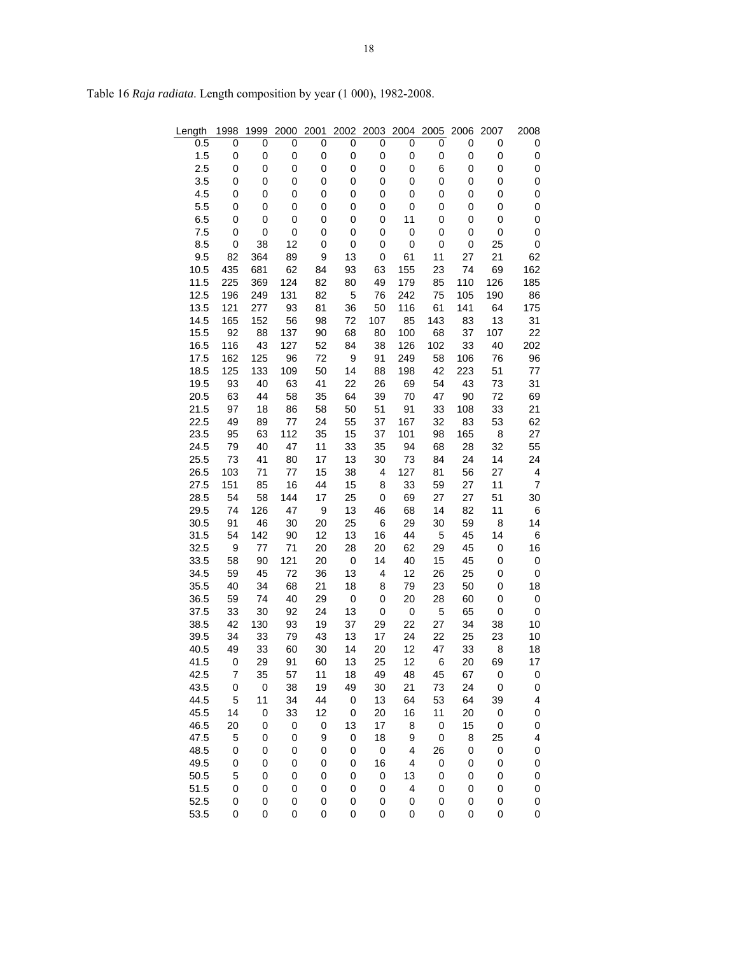| Length | 1998        | 1999        | 2000        | 2001        | 2002             | 2003           | 2004                    | 2005             | 2006             | 2007             | 2008                     |
|--------|-------------|-------------|-------------|-------------|------------------|----------------|-------------------------|------------------|------------------|------------------|--------------------------|
| 0.5    | 0           | 0           | 0           | 0           | 0                | 0              | 0                       | 0                | 0                | 0                | 0                        |
| 1.5    | $\mathbf 0$ | 0           | 0           | 0           | 0                | $\pmb{0}$      | 0                       | $\pmb{0}$        | $\pmb{0}$        | 0                | $\pmb{0}$                |
| 2.5    | 0           | 0           | 0           | 0           | 0                | 0              | 0                       | 6                | 0                | 0                | $\pmb{0}$                |
| 3.5    | $\mathbf 0$ | 0           | 0           | 0           | 0                | 0              | 0                       | 0                | 0                | 0                | $\pmb{0}$                |
| 4.5    | 0           | 0           | 0           | 0           | 0                | 0              | 0                       | 0                | 0                | 0                | $\pmb{0}$                |
| 5.5    | $\mathbf 0$ | 0           | 0           | 0           | 0                | 0              | 0                       | 0                | 0                | 0                | $\mathbf 0$              |
| 6.5    | $\mathbf 0$ | 0           | 0           | 0           | 0                | 0              | 11                      | 0                | 0                | 0                | $\pmb{0}$                |
| 7.5    | $\mathbf 0$ | 0           | 0           | 0           | 0                | 0              | 0                       | 0                | 0                | 0                | 0                        |
| 8.5    | 0           | 38          | 12          | 0           | 0                | 0              | 0                       | 0                | 0                | 25               | $\pmb{0}$                |
| 9.5    | 82          | 364         | 89          | 9           | 13               | 0              | 61                      | 11               | 27               | 21               | 62                       |
| 10.5   | 435         | 681         | 62          | 84          | 93               | 63             | 155                     | 23               | 74               | 69               | 162                      |
| 11.5   | 225         | 369         | 124         | 82          | 80               | 49             | 179                     | 85               | 110              | 126              | 185                      |
| 12.5   | 196         | 249         | 131         | 82          | 5                | 76             | 242                     | 75               | 105              | 190              | 86                       |
| 13.5   | 121         | 277         | 93          | 81          | 36               | 50             | 116                     | 61               | 141              | 64               | 175                      |
| 14.5   | 165         | 152         | 56          | 98          | 72               | 107            | 85                      | 143              | 83               | 13               | 31                       |
| 15.5   | 92          | 88          | 137         | 90          | 68               | 80             | 100                     | 68               | 37               | 107              | 22                       |
| 16.5   | 116         | 43          | 127         | 52          | 84               | 38             | 126                     | 102              | 33               | 40               | 202                      |
| 17.5   | 162         | 125         | 96          | 72          | $\boldsymbol{9}$ | 91             | 249                     | 58               | 106              | 76               | 96                       |
| 18.5   | 125         | 133         | 109         | 50          | 14               | 88             | 198                     | 42               | 223              | 51               | 77                       |
| 19.5   | 93          | 40          | 63          | 41          | 22               | 26             | 69                      | 54               | 43               | 73               | 31                       |
| 20.5   | 63          | 44          | 58          | 35          | 64               | 39             | 70                      | 47               | 90               | 72               | 69                       |
| 21.5   | 97          | 18          | 86          | 58          | 50               | 51             | 91                      | 33               | 108              | 33               | 21                       |
| 22.5   | 49          | 89          | 77          | 24          | 55               | 37             | 167                     | 32               | 83               | 53               | 62                       |
| 23.5   | 95          | 63          | 112         | 35          | 15               | 37             | 101                     | 98               | 165              | 8                | 27                       |
| 24.5   | 79          | 40          | 47          | 11          | 33               | 35             | 94                      | 68               | 28               | 32               | 55                       |
| 25.5   | 73          | 41          | 80          | 17          | 13               | 30             | 73                      | 84               | 24               | 14               | 24                       |
| 26.5   | 103         | 71          | 77          | 15          | 38               | 4              | 127                     | 81               | 56               | 27               | 4                        |
| 27.5   | 151         | 85          | 16          | 44          | 15               | 8              | 33                      | 59               | 27               | 11               | $\overline{7}$           |
| 28.5   | 54          | 58          | 144         | 17          | 25               | 0              | 69                      | 27               | 27               | 51               | 30                       |
| 29.5   | 74          | 126         | 47          | 9           | 13               | 46             | 68                      | 14               | 82               | 11               | 6                        |
| 30.5   | 91          | 46          | 30          | 20          | 25               | 6              | 29                      | 30               | 59               | 8                | 14                       |
| 31.5   | 54          | 142         | 90          | 12          | 13               | 16             | 44                      | 5                | 45               | 14               | 6                        |
| 32.5   | 9           | 77          | 71          | 20          | 28               | 20             | 62                      | 29               | 45               | 0                | 16                       |
| 33.5   | 58          | 90          | 121         | 20          | 0                | 14             | 40                      | 15               | 45               | 0                | $\mathbf 0$              |
| 34.5   | 59          | 45          | 72          | 36          | 13               | 4              | 12                      | 26               | 25               | 0                | $\pmb{0}$                |
| 35.5   | 40          | 34          | 68          | 21          | 18               | 8              | 79                      | 23               | 50               | 0                | 18                       |
| 36.5   | 59          | 74          | 40          | 29          | 0                | 0              | 20                      | 28               | 60               | 0                | $\pmb{0}$                |
| 37.5   | 33          | 30          | 92          | 24          | 13               | 0              | 0                       | 5                | 65               | 0                | $\pmb{0}$                |
| 38.5   | 42          | 130         | 93          | 19          | 37               | 29             | 22                      | 27               | 34               | 38               | 10                       |
| 39.5   | 34          | 33          | 79          | 43          | 13               | 17             | 24                      | 22               | 25               | 23               | 10                       |
| 40.5   | 49          | 33          | 60          | 30          | 14               | 20             | 12                      | 47               | 33               | 8                | 18                       |
| 41.5   | 0           | 29          | 91          | 60          | 13               | 25             | 12                      | 6                | 20               | 69               | 17                       |
| 42.5   | 7           | 35          | 57          | 11          | 18               | 49             | 48                      | 45               | 67               | 0                | 0                        |
| 43.5   | 0           | $\pmb{0}$   | 38          | 19          | 49               | 30             | 21                      | 73               | 24               | $\pmb{0}$        | 0                        |
| 44.5   | 5           | 11          | 34          | 44          | $\overline{0}$   | 13             | 64                      | 53               | 64               | 39               | $\overline{\mathcal{L}}$ |
| 45.5   | 14          | 0           | 33          | 12          | $\pmb{0}$        | 20             | 16                      | 11               | 20               | $\pmb{0}$        | $\pmb{0}$                |
| 46.5   | 20          | $\mathbf 0$ | $\,0\,$     | 0           | 13               | 17             | 8                       | $\pmb{0}$        | 15               | $\pmb{0}$        | $\mathbf 0$              |
| 47.5   | 5           | 0           | 0           | 9           | $\pmb{0}$        | 18             | 9                       | $\pmb{0}$        | 8                | 25               | 4                        |
| 48.5   | $\mathbf 0$ | $\mathbf 0$ | 0           | 0           | 0                | $\overline{0}$ | 4                       | 26               | $\boldsymbol{0}$ | $\boldsymbol{0}$ | $\mathbf 0$              |
| 49.5   | $\mathbf 0$ | 0           | $\mathbf 0$ | $\mathbf 0$ | 0                | 16             | $\overline{\mathbf{4}}$ | $\pmb{0}$        | $\boldsymbol{0}$ | $\pmb{0}$        | $\pmb{0}$                |
| 50.5   | 5           | 0           | $\mathbf 0$ | $\mathbf 0$ | $\mathbf 0$      | $\pmb{0}$      | 13                      | $\boldsymbol{0}$ | 0                | 0                | $\mathbf 0$              |
| 51.5   | 0           | $\mathbf 0$ | $\mathbf 0$ | 0           | 0                | $\pmb{0}$      | 4                       | 0                | 0                | 0                | 0                        |
| 52.5   | 0           | 0           | 0           | 0           | 0                | 0              | 0                       | 0                | 0                | 0                | 0                        |
| 53.5   | 0           | 0           | 0           | 0           | 0                | 0              | 0                       | 0                | 0                | 0                | 0                        |

Table 16 *Raja radiata*. Length composition by year (1 000), 1982-2008.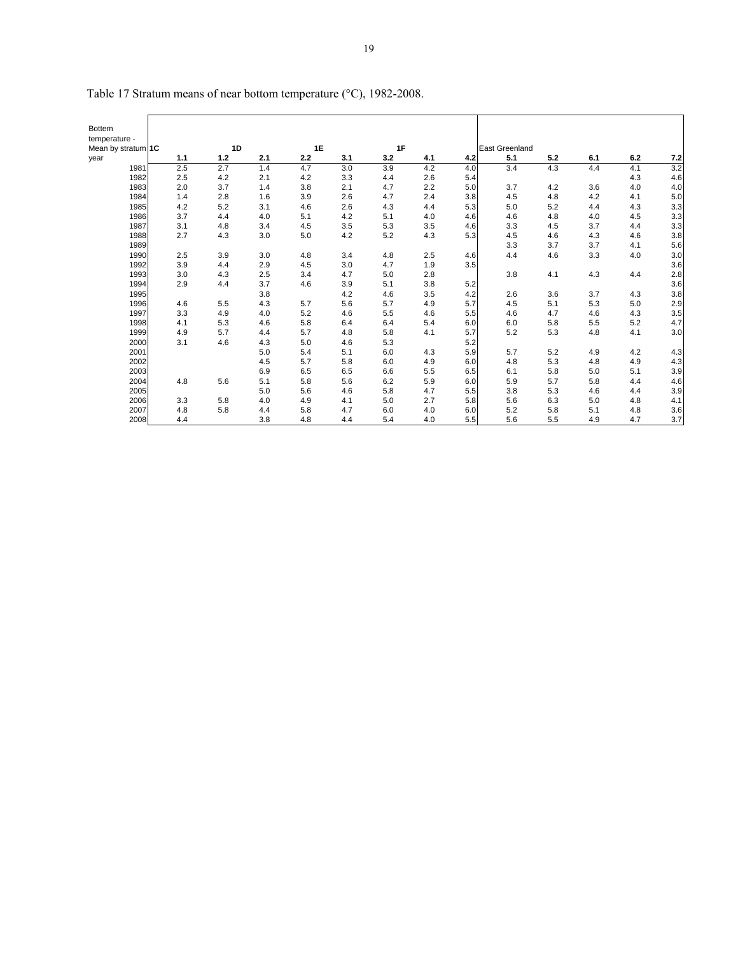| Bottem             |     |       |     |     |     |     |     |     |                       |     |     |     |     |
|--------------------|-----|-------|-----|-----|-----|-----|-----|-----|-----------------------|-----|-----|-----|-----|
| temperature -      |     |       |     |     |     |     |     |     |                       |     |     |     |     |
| Mean by stratum 1C |     | 1D    |     | 1E  |     | 1F  |     |     | <b>East Greenland</b> |     |     |     |     |
| year               | 1.1 | $1.2$ | 2.1 | 2.2 | 3.1 | 3.2 | 4.1 | 4.2 | 5.1                   | 5.2 | 6.1 | 6.2 | 7.2 |
| 1981               | 2.5 | 2.7   | 1.4 | 4.7 | 3.0 | 3.9 | 4.2 | 4.0 | 3.4                   | 4.3 | 4.4 | 4.1 | 3.2 |
| 1982               | 2.5 | 4.2   | 2.1 | 4.2 | 3.3 | 4.4 | 2.6 | 5.4 |                       |     |     | 4.3 | 4.6 |
| 1983               | 2.0 | 3.7   | 1.4 | 3.8 | 2.1 | 4.7 | 2.2 | 5.0 | 3.7                   | 4.2 | 3.6 | 4.0 | 4.0 |
| 1984               | 1.4 | 2.8   | 1.6 | 3.9 | 2.6 | 4.7 | 2.4 | 3.8 | 4.5                   | 4.8 | 4.2 | 4.1 | 5.0 |
| 1985               | 4.2 | 5.2   | 3.1 | 4.6 | 2.6 | 4.3 | 4.4 | 5.3 | 5.0                   | 5.2 | 4.4 | 4.3 | 3.3 |
| 1986               | 3.7 | 4.4   | 4.0 | 5.1 | 4.2 | 5.1 | 4.0 | 4.6 | 4.6                   | 4.8 | 4.0 | 4.5 | 3.3 |
| 1987               | 3.1 | 4.8   | 3.4 | 4.5 | 3.5 | 5.3 | 3.5 | 4.6 | 3.3                   | 4.5 | 3.7 | 4.4 | 3.3 |
| 1988               | 2.7 | 4.3   | 3.0 | 5.0 | 4.2 | 5.2 | 4.3 | 5.3 | 4.5                   | 4.6 | 4.3 | 4.6 | 3.8 |
| 1989               |     |       |     |     |     |     |     |     | 3.3                   | 3.7 | 3.7 | 4.1 | 5.6 |
| 1990               | 2.5 | 3.9   | 3.0 | 4.8 | 3.4 | 4.8 | 2.5 | 4.6 | 4.4                   | 4.6 | 3.3 | 4.0 | 3.0 |
| 1992               | 3.9 | 4.4   | 2.9 | 4.5 | 3.0 | 4.7 | 1.9 | 3.5 |                       |     |     |     | 3.6 |
| 1993               | 3.0 | 4.3   | 2.5 | 3.4 | 4.7 | 5.0 | 2.8 |     | 3.8                   | 4.1 | 4.3 | 4.4 | 2.8 |
| 1994               | 2.9 | 4.4   | 3.7 | 4.6 | 3.9 | 5.1 | 3.8 | 5.2 |                       |     |     |     | 3.6 |
| 1995               |     |       | 3.8 |     | 4.2 | 4.6 | 3.5 | 4.2 | 2.6                   | 3.6 | 3.7 | 4.3 | 3.8 |
| 1996               | 4.6 | 5.5   | 4.3 | 5.7 | 5.6 | 5.7 | 4.9 | 5.7 | 4.5                   | 5.1 | 5.3 | 5.0 | 2.9 |
| 1997               | 3.3 | 4.9   | 4.0 | 5.2 | 4.6 | 5.5 | 4.6 | 5.5 | 4.6                   | 4.7 | 4.6 | 4.3 | 3.5 |
| 1998               | 4.1 | 5.3   | 4.6 | 5.8 | 6.4 | 6.4 | 5.4 | 6.0 | 6.0                   | 5.8 | 5.5 | 5.2 | 4.7 |
| 1999               | 4.9 | 5.7   | 4.4 | 5.7 | 4.8 | 5.8 | 4.1 | 5.7 | 5.2                   | 5.3 | 4.8 | 4.1 | 3.0 |
| 2000               | 3.1 | 4.6   | 4.3 | 5.0 | 4.6 | 5.3 |     | 5.2 |                       |     |     |     |     |
| 2001               |     |       | 5.0 | 5.4 | 5.1 | 6.0 | 4.3 | 5.9 | 5.7                   | 5.2 | 4.9 | 4.2 | 4.3 |
| 2002               |     |       | 4.5 | 5.7 | 5.8 | 6.0 | 4.9 | 6.0 | 4.8                   | 5.3 | 4.8 | 4.9 | 4.3 |
| 2003               |     |       | 6.9 | 6.5 | 6.5 | 6.6 | 5.5 | 6.5 | 6.1                   | 5.8 | 5.0 | 5.1 | 3.9 |
| 2004               | 4.8 | 5.6   | 5.1 | 5.8 | 5.6 | 6.2 | 5.9 | 6.0 | 5.9                   | 5.7 | 5.8 | 4.4 | 4.6 |
| 2005               |     |       | 5.0 | 5.6 | 4.6 | 5.8 | 4.7 | 5.5 | 3.8                   | 5.3 | 4.6 | 4.4 | 3.9 |
| 2006               | 3.3 | 5.8   | 4.0 | 4.9 | 4.1 | 5.0 | 2.7 | 5.8 | 5.6                   | 6.3 | 5.0 | 4.8 | 4.1 |
| 2007               | 4.8 | 5.8   | 4.4 | 5.8 | 4.7 | 6.0 | 4.0 | 6.0 | 5.2                   | 5.8 | 5.1 | 4.8 | 3.6 |
| 2008               | 4.4 |       | 3.8 | 4.8 | 4.4 | 5.4 | 4.0 | 5.5 | 5.6                   | 5.5 | 4.9 | 4.7 | 3.7 |

Table 17 Stratum means of near bottom temperature (°C), 1982-2008.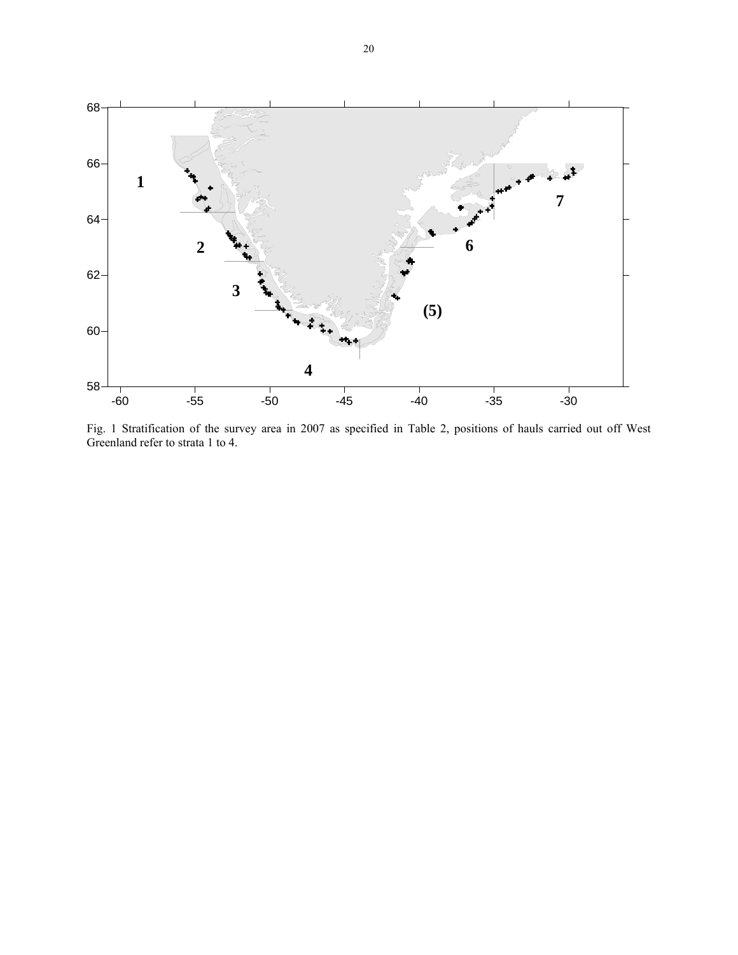

Fig. 1 Stratification of the survey area in 2007 as specified in Table 2, positions of hauls carried out off West Greenland refer to strata 1 to 4.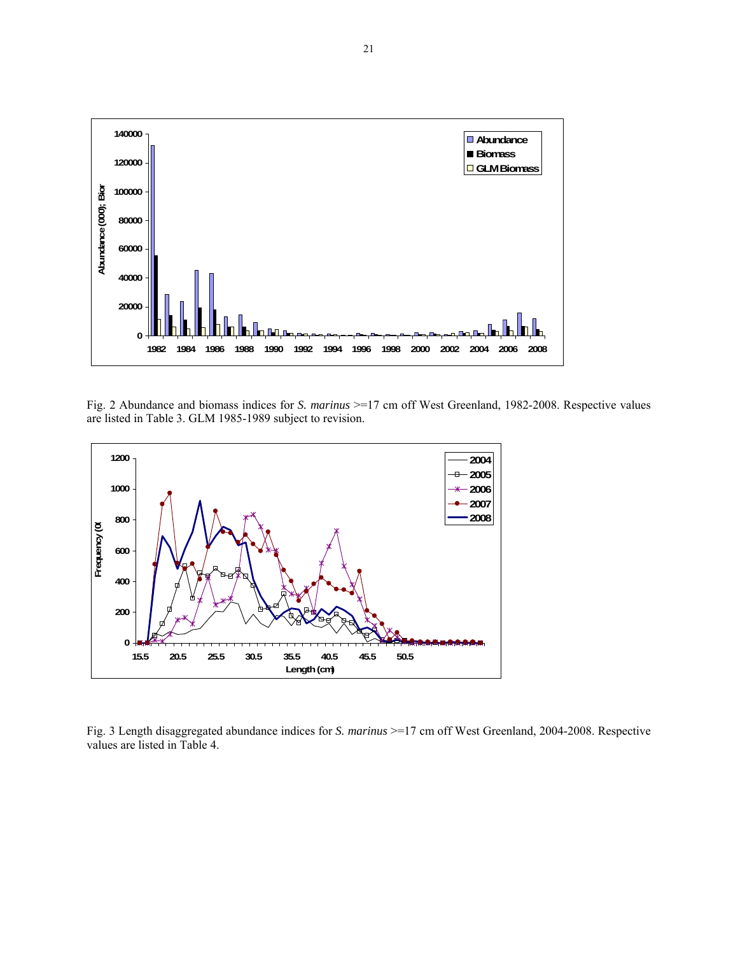

Fig. 2 Abundance and biomass indices for *S. marinus* >=17 cm off West Greenland, 1982-2008. Respective values are listed in Table 3. GLM 1985-1989 subject to revision.



Fig. 3 Length disaggregated abundance indices for *S. marinus* >=17 cm off West Greenland, 2004-2008. Respective values are listed in Table 4.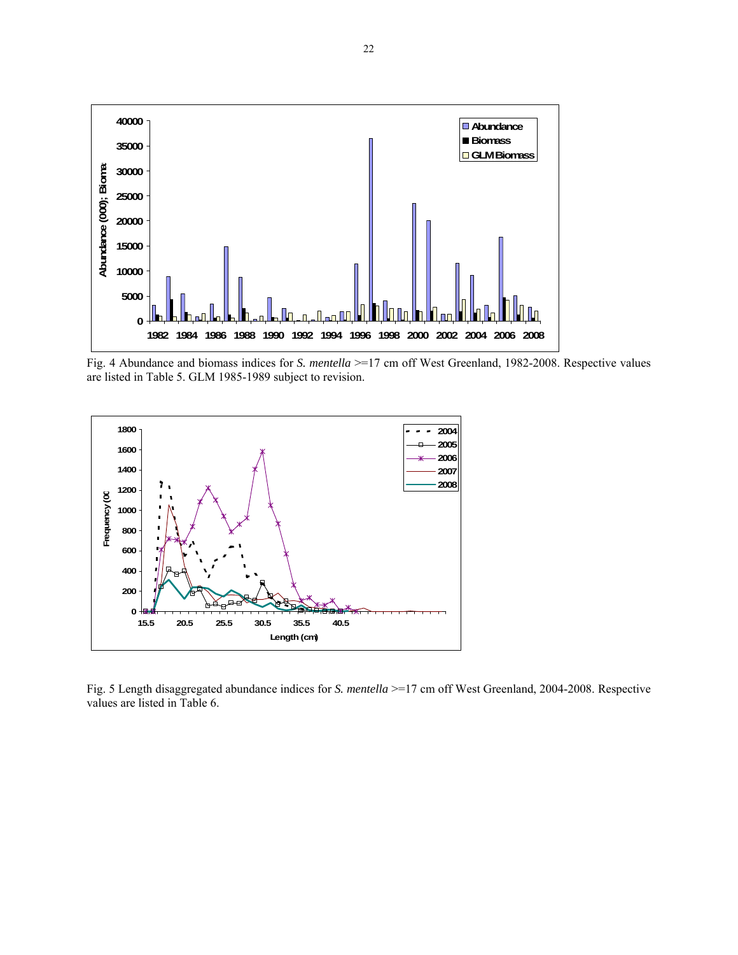

Fig. 4 Abundance and biomass indices for *S. mentella* >=17 cm off West Greenland, 1982-2008. Respective values are listed in Table 5. GLM 1985-1989 subject to revision.



Fig. 5 Length disaggregated abundance indices for *S. mentella* >=17 cm off West Greenland, 2004-2008. Respective values are listed in Table 6.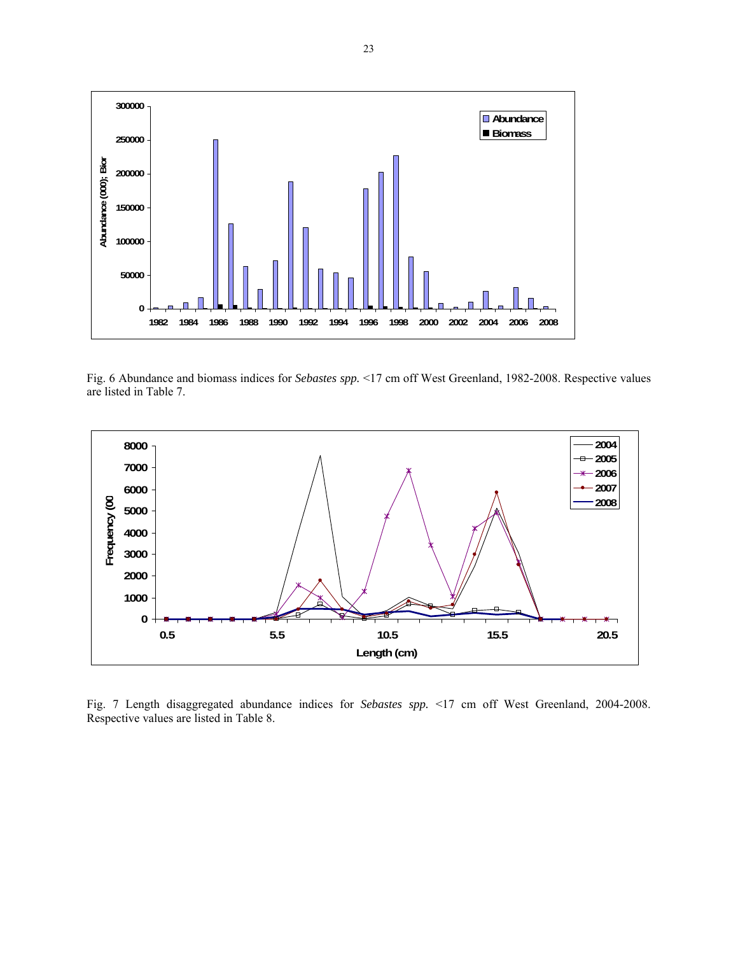

Fig. 6 Abundance and biomass indices for *Sebastes spp.* <17 cm off West Greenland, 1982-2008. Respective values are listed in Table 7.



Fig. 7 Length disaggregated abundance indices for *Sebastes spp.* <17 cm off West Greenland, 2004-2008. Respective values are listed in Table 8.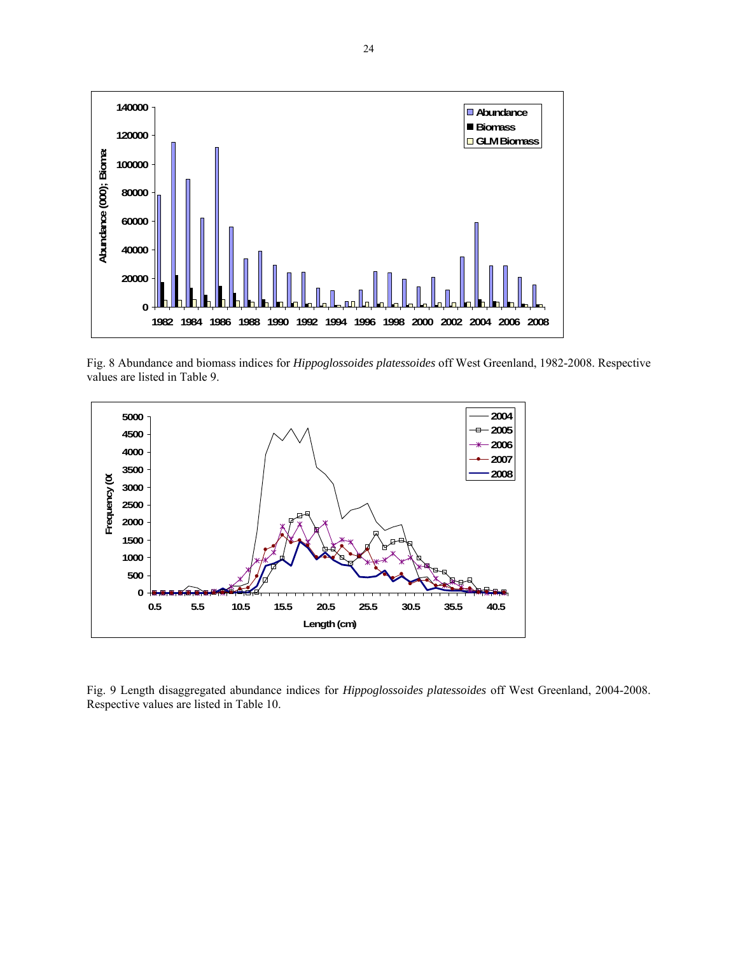

Fig. 8 Abundance and biomass indices for *Hippoglossoides platessoides* off West Greenland, 1982-2008. Respective values are listed in Table 9.



Fig. 9 Length disaggregated abundance indices for *Hippoglossoides platessoides* off West Greenland, 2004-2008. Respective values are listed in Table 10.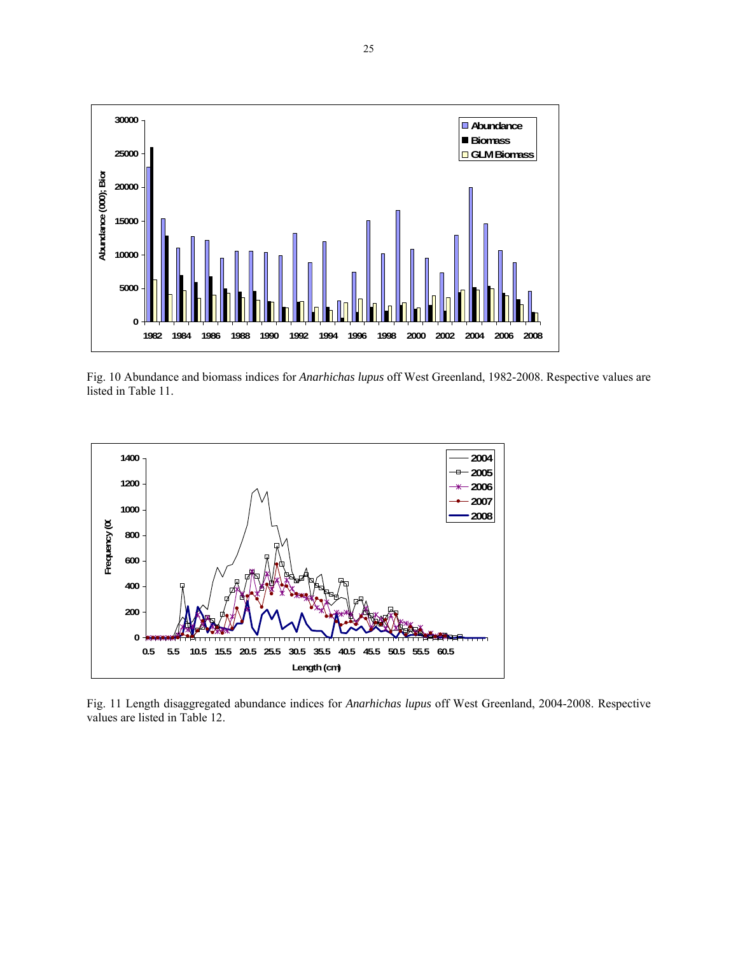

Fig. 10 Abundance and biomass indices for *Anarhichas lupus* off West Greenland, 1982-2008. Respective values are listed in Table 11.



Fig. 11 Length disaggregated abundance indices for *Anarhichas lupus* off West Greenland, 2004-2008. Respective values are listed in Table 12.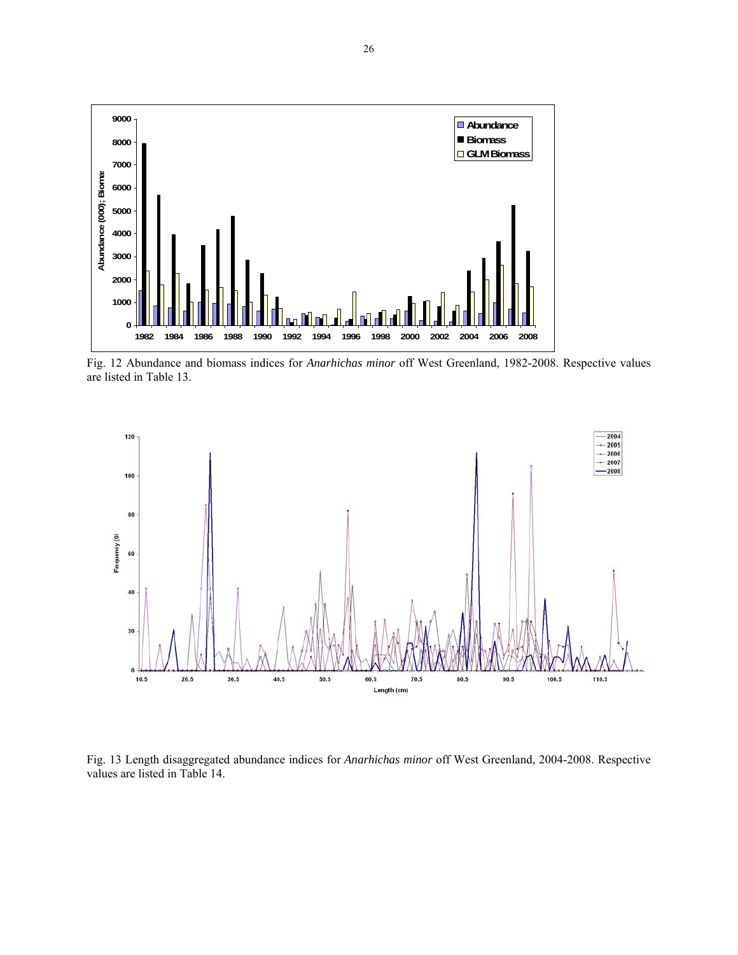

Fig. 12 Abundance and biomass indices for *Anarhichas minor* off West Greenland, 1982-2008. Respective values are listed in Table 13.



Fig. 13 Length disaggregated abundance indices for *Anarhichas minor* off West Greenland, 2004-2008. Respective values are listed in Table 14.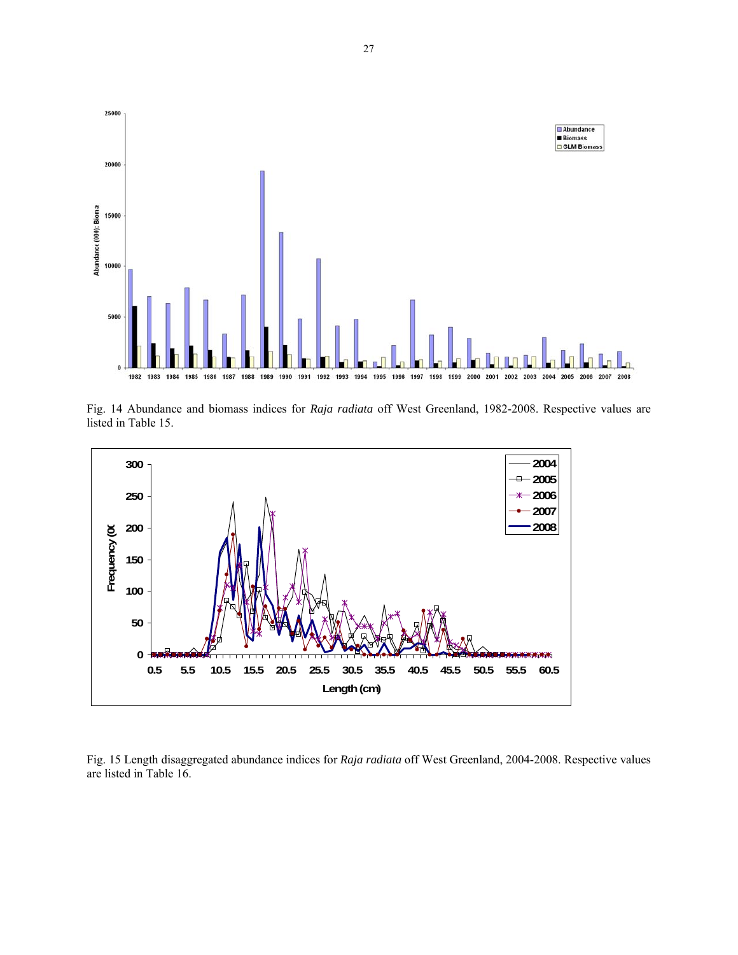

Fig. 14 Abundance and biomass indices for *Raja radiata* off West Greenland, 1982-2008. Respective values are listed in Table 15.



Fig. 15 Length disaggregated abundance indices for *Raja radiata* off West Greenland, 2004-2008. Respective values are listed in Table 16.